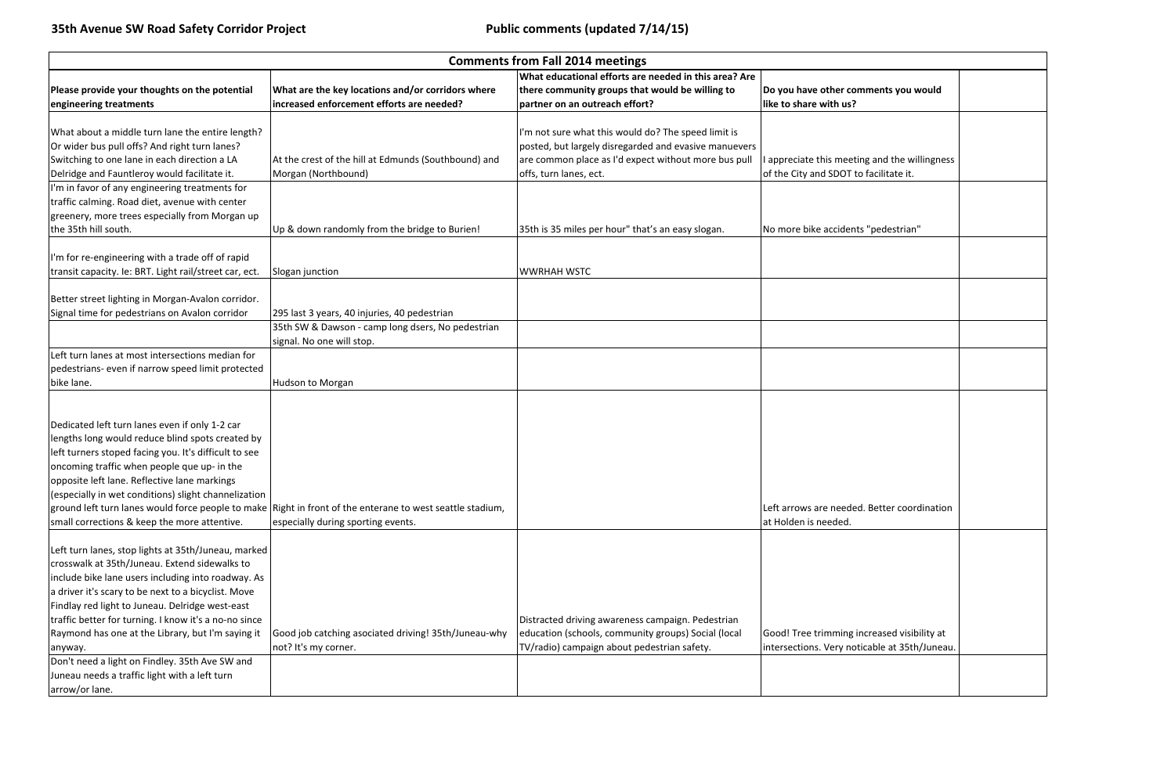|                                                                                                                                                                                                                                                                                                                                                                                                                                                 |                                                                                                                                                 | <b>Comments from Fall 2014 meetings</b>                                                                                                                                                        |                                                                                              |
|-------------------------------------------------------------------------------------------------------------------------------------------------------------------------------------------------------------------------------------------------------------------------------------------------------------------------------------------------------------------------------------------------------------------------------------------------|-------------------------------------------------------------------------------------------------------------------------------------------------|------------------------------------------------------------------------------------------------------------------------------------------------------------------------------------------------|----------------------------------------------------------------------------------------------|
| Please provide your thoughts on the potential<br>engineering treatments                                                                                                                                                                                                                                                                                                                                                                         | What are the key locations and/or corridors where<br>increased enforcement efforts are needed?                                                  | What educational efforts are needed in this area? Are<br>there community groups that would be willing to<br>partner on an outreach effort?                                                     | Do you have other comments you would<br>like to share with us?                               |
| What about a middle turn lane the entire length?<br>Or wider bus pull offs? And right turn lanes?<br>Switching to one lane in each direction a LA<br>Delridge and Fauntleroy would facilitate it.                                                                                                                                                                                                                                               | At the crest of the hill at Edmunds (Southbound) and<br>Morgan (Northbound)                                                                     | I'm not sure what this would do? The speed limit is<br>posted, but largely disregarded and evasive manuevers<br>are common place as I'd expect without more bus pull<br>offs, turn lanes, ect. | appreciate this meeting and the willingness<br>of the City and SDOT to facilitate it.        |
| I'm in favor of any engineering treatments for<br>traffic calming. Road diet, avenue with center<br>greenery, more trees especially from Morgan up<br>the 35th hill south.                                                                                                                                                                                                                                                                      | Up & down randomly from the bridge to Burien!                                                                                                   | 35th is 35 miles per hour" that's an easy slogan.                                                                                                                                              | No more bike accidents "pedestrian"                                                          |
| I'm for re-engineering with a trade off of rapid<br>transit capacity. Ie: BRT. Light rail/street car, ect.                                                                                                                                                                                                                                                                                                                                      | Slogan junction                                                                                                                                 | <b>WWRHAH WSTC</b>                                                                                                                                                                             |                                                                                              |
| Better street lighting in Morgan-Avalon corridor.<br>Signal time for pedestrians on Avalon corridor                                                                                                                                                                                                                                                                                                                                             | 295 last 3 years, 40 injuries, 40 pedestrian<br>35th SW & Dawson - camp long dsers, No pedestrian<br>signal. No one will stop.                  |                                                                                                                                                                                                |                                                                                              |
| Left turn lanes at most intersections median for<br>pedestrians- even if narrow speed limit protected<br>bike lane.                                                                                                                                                                                                                                                                                                                             | Hudson to Morgan                                                                                                                                |                                                                                                                                                                                                |                                                                                              |
| Dedicated left turn lanes even if only 1-2 car<br>lengths long would reduce blind spots created by<br>left turners stoped facing you. It's difficult to see<br>oncoming traffic when people que up- in the<br>opposite left lane. Reflective lane markings<br>(especially in wet conditions) slight channelization<br>small corrections & keep the more attentive.                                                                              | ground left turn lanes would force people to make Right in front of the enterane to west seattle stadium,<br>especially during sporting events. |                                                                                                                                                                                                | Left arrows are needed. Better coordination<br>at Holden is needed.                          |
| Left turn lanes, stop lights at 35th/Juneau, marked<br>crosswalk at 35th/Juneau. Extend sidewalks to<br>include bike lane users including into roadway. As<br>a driver it's scary to be next to a bicyclist. Move<br>Findlay red light to Juneau. Delridge west-east<br>traffic better for turning. I know it's a no-no since<br>Raymond has one at the Library, but I'm saying it<br>anyway.<br>Don't need a light on Findley. 35th Ave SW and | Good job catching asociated driving! 35th/Juneau-why<br>not? It's my corner.                                                                    | Distracted driving awareness campaign. Pedestrian<br>education (schools, community groups) Social (local<br>TV/radio) campaign about pedestrian safety.                                        | Good! Tree trimming increased visibility at<br>intersections. Very noticable at 35th/Juneau. |
| Juneau needs a traffic light with a left turn<br>arrow/or lane.                                                                                                                                                                                                                                                                                                                                                                                 |                                                                                                                                                 |                                                                                                                                                                                                |                                                                                              |

| ments you would                                |  |
|------------------------------------------------|--|
|                                                |  |
| g and the willingness<br>facilitate it.        |  |
|                                                |  |
| "pedestrian"                                   |  |
|                                                |  |
|                                                |  |
|                                                |  |
|                                                |  |
|                                                |  |
|                                                |  |
| . Better coordination                          |  |
|                                                |  |
|                                                |  |
| creased visibility at<br>cable at 35th/Juneau. |  |
|                                                |  |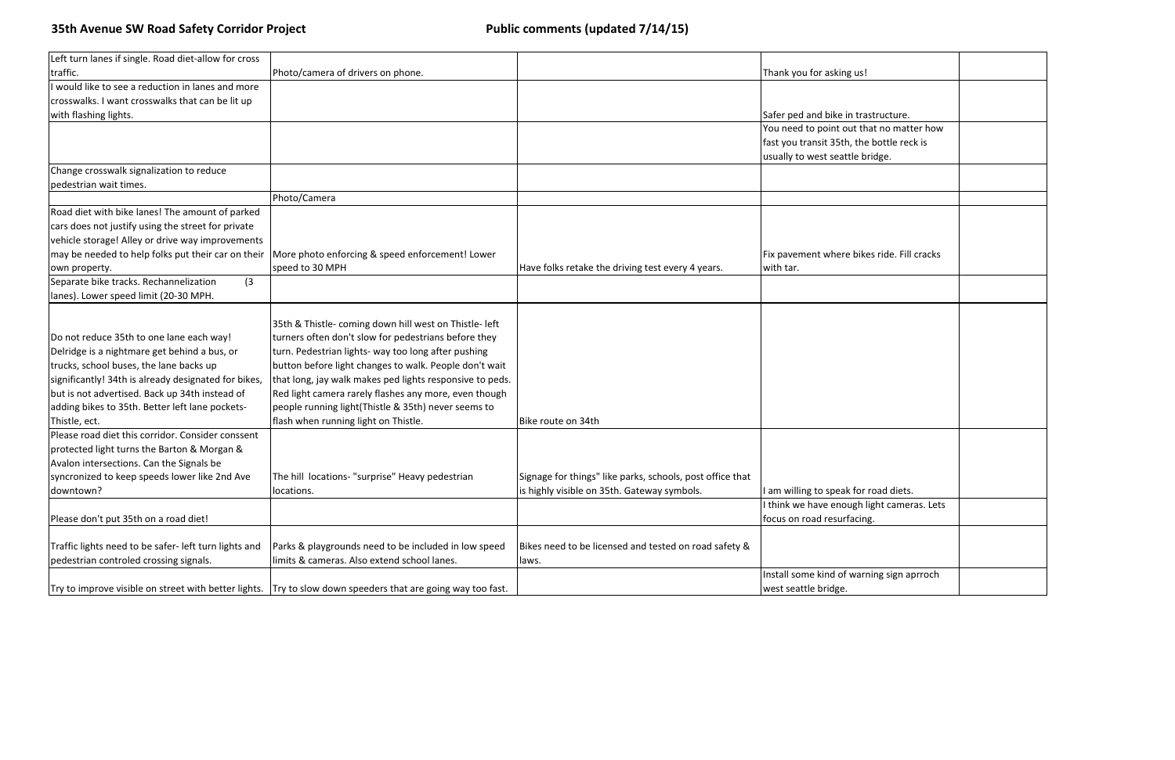| Left turn lanes if single. Road diet-allow for cross |                                                          |                                                           |                                            |
|------------------------------------------------------|----------------------------------------------------------|-----------------------------------------------------------|--------------------------------------------|
| traffic.                                             | Photo/camera of drivers on phone.                        |                                                           | Thank you for asking us!                   |
| I would like to see a reduction in lanes and more    |                                                          |                                                           |                                            |
| crosswalks. I want crosswalks that can be lit up     |                                                          |                                                           |                                            |
| with flashing lights.                                |                                                          |                                                           | Safer ped and bike in trastructure.        |
|                                                      |                                                          |                                                           | You need to point out that no matter how   |
|                                                      |                                                          |                                                           | fast you transit 35th, the bottle reck is  |
|                                                      |                                                          |                                                           | usually to west seattle bridge.            |
| Change crosswalk signalization to reduce             |                                                          |                                                           |                                            |
| pedestrian wait times.                               |                                                          |                                                           |                                            |
|                                                      | Photo/Camera                                             |                                                           |                                            |
| Road diet with bike lanes! The amount of parked      |                                                          |                                                           |                                            |
| cars does not justify using the street for private   |                                                          |                                                           |                                            |
| vehicle storage! Alley or drive way improvements     |                                                          |                                                           |                                            |
| may be needed to help folks put their car on their   | More photo enforcing & speed enforcement! Lower          |                                                           | Fix pavement where bikes ride. Fill cracks |
| own property.                                        | speed to 30 MPH                                          | Have folks retake the driving test every 4 years.         | with tar.                                  |
| Separate bike tracks. Rechannelization<br>(3)        |                                                          |                                                           |                                            |
| lanes). Lower speed limit (20-30 MPH.                |                                                          |                                                           |                                            |
|                                                      |                                                          |                                                           |                                            |
|                                                      | 35th & Thistle- coming down hill west on Thistle- left   |                                                           |                                            |
| Do not reduce 35th to one lane each way!             | turners often don't slow for pedestrians before they     |                                                           |                                            |
| Delridge is a nightmare get behind a bus, or         | turn. Pedestrian lights- way too long after pushing      |                                                           |                                            |
| trucks, school buses, the lane backs up              | button before light changes to walk. People don't wait   |                                                           |                                            |
| significantly! 34th is already designated for bikes, | that long, jay walk makes ped lights responsive to peds. |                                                           |                                            |
| but is not advertised. Back up 34th instead of       | Red light camera rarely flashes any more, even though    |                                                           |                                            |
| adding bikes to 35th. Better left lane pockets-      | people running light(Thistle & 35th) never seems to      |                                                           |                                            |
| Thistle, ect.                                        | flash when running light on Thistle.                     | Bike route on 34th                                        |                                            |
| Please road diet this corridor. Consider conssent    |                                                          |                                                           |                                            |
| protected light turns the Barton & Morgan &          |                                                          |                                                           |                                            |
| Avalon intersections. Can the Signals be             |                                                          |                                                           |                                            |
| syncronized to keep speeds lower like 2nd Ave        | The hill locations- "surprise" Heavy pedestrian          | Signage for things" like parks, schools, post office that |                                            |
| downtown?                                            | locations.                                               | is highly visible on 35th. Gateway symbols.               | I am willing to speak for road diets.      |
|                                                      |                                                          |                                                           | I think we have enough light cameras. Lets |
| Please don't put 35th on a road diet!                |                                                          |                                                           | focus on road resurfacing.                 |
|                                                      |                                                          |                                                           |                                            |
| Traffic lights need to be safer-left turn lights and | Parks & playgrounds need to be included in low speed     | Bikes need to be licensed and tested on road safety &     |                                            |
| pedestrian controled crossing signals.               | limits & cameras. Also extend school lanes.              | laws.                                                     |                                            |
|                                                      |                                                          |                                                           | Install some kind of warning sign aprroch  |
| Try to improve visible on street with better lights. | Try to slow down speeders that are going way too fast.   |                                                           | west seattle bridge.                       |

| ţ                                     |  |
|---------------------------------------|--|
|                                       |  |
|                                       |  |
| astructure.                           |  |
| hat no matter how<br>e bottle reck is |  |
|                                       |  |
| oridge.                               |  |
|                                       |  |
|                                       |  |
|                                       |  |
|                                       |  |
|                                       |  |
| ces ride. Fill cracks                 |  |
|                                       |  |
|                                       |  |
|                                       |  |
|                                       |  |
|                                       |  |
|                                       |  |
|                                       |  |
|                                       |  |
|                                       |  |
|                                       |  |
|                                       |  |
|                                       |  |
|                                       |  |
|                                       |  |
|                                       |  |
| road diets.                           |  |
| light cameras. Lets                   |  |
| <u>າg.</u>                            |  |
|                                       |  |
|                                       |  |
|                                       |  |
| ning sign aprroch                     |  |
|                                       |  |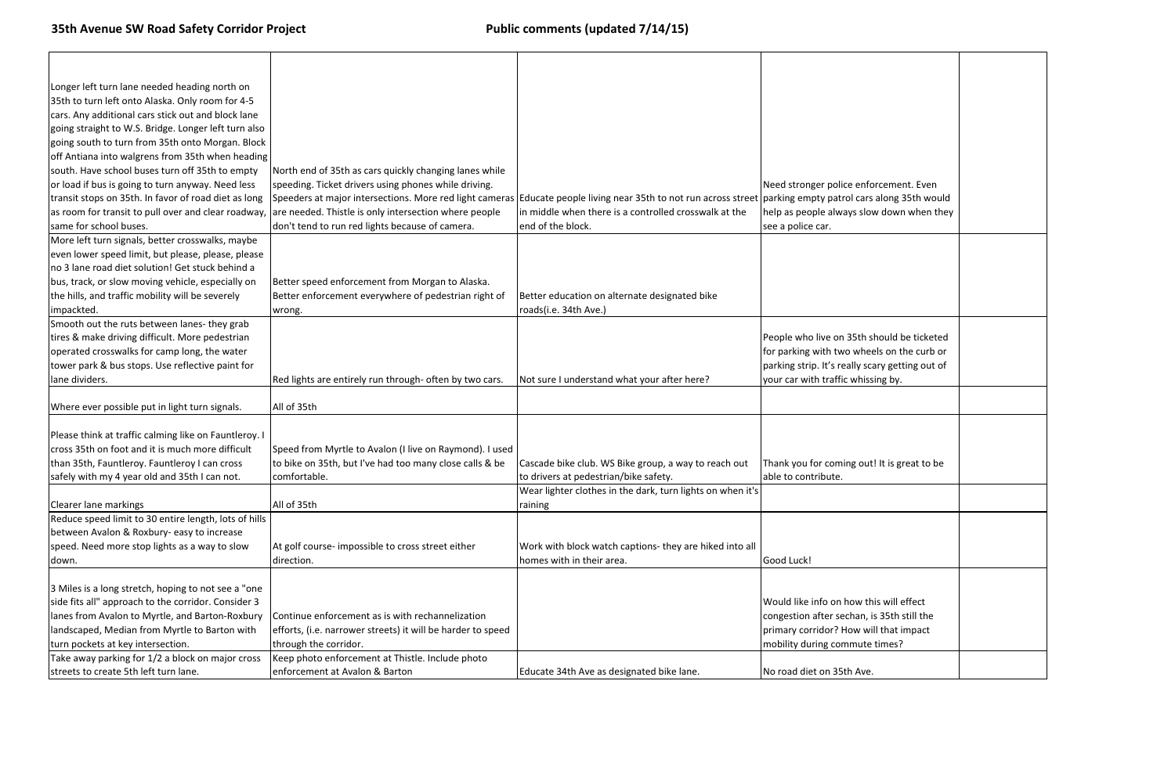| Longer left turn lane needed heading north on         |                                                                                                                  |                                                            |                                                 |
|-------------------------------------------------------|------------------------------------------------------------------------------------------------------------------|------------------------------------------------------------|-------------------------------------------------|
| 35th to turn left onto Alaska. Only room for 4-5      |                                                                                                                  |                                                            |                                                 |
| cars. Any additional cars stick out and block lane    |                                                                                                                  |                                                            |                                                 |
| going straight to W.S. Bridge. Longer left turn also  |                                                                                                                  |                                                            |                                                 |
| going south to turn from 35th onto Morgan. Block      |                                                                                                                  |                                                            |                                                 |
| off Antiana into walgrens from 35th when heading      |                                                                                                                  |                                                            |                                                 |
| south. Have school buses turn off 35th to empty       | North end of 35th as cars quickly changing lanes while                                                           |                                                            |                                                 |
| or load if bus is going to turn anyway. Need less     | speeding. Ticket drivers using phones while driving.                                                             |                                                            | Need stronger police enforcement. Even          |
| transit stops on 35th. In favor of road diet as long  | Speeders at major intersections. More red light cameras Educate people living near 35th to not run across street |                                                            | t  parking empty patrol cars along 35th would   |
| as room for transit to pull over and clear roadway,   | are needed. Thistle is only intersection where people                                                            | in middle when there is a controlled crosswalk at the      | help as people always slow down when they       |
| same for school buses.                                | don't tend to run red lights because of camera.                                                                  | end of the block.                                          | see a police car.                               |
| More left turn signals, better crosswalks, maybe      |                                                                                                                  |                                                            |                                                 |
| even lower speed limit, but please, please, please    |                                                                                                                  |                                                            |                                                 |
| no 3 lane road diet solution! Get stuck behind a      |                                                                                                                  |                                                            |                                                 |
| bus, track, or slow moving vehicle, especially on     | Better speed enforcement from Morgan to Alaska.                                                                  |                                                            |                                                 |
| the hills, and traffic mobility will be severely      | Better enforcement everywhere of pedestrian right of                                                             | Better education on alternate designated bike              |                                                 |
| impackted.                                            | wrong.                                                                                                           | roads(i.e. 34th Ave.)                                      |                                                 |
| Smooth out the ruts between lanes- they grab          |                                                                                                                  |                                                            |                                                 |
| tires & make driving difficult. More pedestrian       |                                                                                                                  |                                                            | People who live on 35th should be ticketed      |
| operated crosswalks for camp long, the water          |                                                                                                                  |                                                            | for parking with two wheels on the curb or      |
| tower park & bus stops. Use reflective paint for      |                                                                                                                  |                                                            | parking strip. It's really scary getting out of |
| lane dividers.                                        | Red lights are entirely run through- often by two cars.                                                          | Not sure I understand what your after here?                | your car with traffic whissing by.              |
|                                                       |                                                                                                                  |                                                            |                                                 |
| Where ever possible put in light turn signals.        | All of 35th                                                                                                      |                                                            |                                                 |
|                                                       |                                                                                                                  |                                                            |                                                 |
| Please think at traffic calming like on Fauntleroy. I |                                                                                                                  |                                                            |                                                 |
| cross 35th on foot and it is much more difficult      | Speed from Myrtle to Avalon (I live on Raymond). I used                                                          |                                                            |                                                 |
| than 35th, Fauntleroy. Fauntleroy I can cross         | to bike on 35th, but I've had too many close calls & be                                                          | Cascade bike club. WS Bike group, a way to reach out       | Thank you for coming out! It is great to be     |
| safely with my 4 year old and 35th I can not.         | comfortable.                                                                                                     | to drivers at pedestrian/bike safety.                      | able to contribute.                             |
|                                                       |                                                                                                                  | Wear lighter clothes in the dark, turn lights on when it's |                                                 |
| <b>Clearer lane markings</b>                          | All of 35th                                                                                                      | raining                                                    |                                                 |
| Reduce speed limit to 30 entire length, lots of hills |                                                                                                                  |                                                            |                                                 |
| between Avalon & Roxbury- easy to increase            |                                                                                                                  |                                                            |                                                 |
| speed. Need more stop lights as a way to slow         | At golf course-impossible to cross street either                                                                 | Work with block watch captions- they are hiked into all    |                                                 |
| down.                                                 | direction.                                                                                                       | homes with in their area.                                  | Good Luck!                                      |
|                                                       |                                                                                                                  |                                                            |                                                 |
| 3 Miles is a long stretch, hoping to not see a "one   |                                                                                                                  |                                                            |                                                 |
| side fits all" approach to the corridor. Consider 3   |                                                                                                                  |                                                            | Would like info on how this will effect         |
| lanes from Avalon to Myrtle, and Barton-Roxbury       | Continue enforcement as is with rechannelization                                                                 |                                                            | congestion after sechan, is 35th still the      |
| landscaped, Median from Myrtle to Barton with         | efforts, (i.e. narrower streets) it will be harder to speed                                                      |                                                            | primary corridor? How will that impact          |
| turn pockets at key intersection.                     | through the corridor.                                                                                            |                                                            | mobility during commute times?                  |
| Take away parking for 1/2 a block on major cross      | Keep photo enforcement at Thistle. Include photo                                                                 |                                                            |                                                 |
| streets to create 5th left turn lane.                 | enforcement at Avalon & Barton                                                                                   | Educate 34th Ave as designated bike lane.                  | No road diet on 35th Ave.                       |

| forcement. Even       |  |
|-----------------------|--|
|                       |  |
| irs along 35th would  |  |
| low down when they    |  |
|                       |  |
|                       |  |
|                       |  |
|                       |  |
|                       |  |
|                       |  |
|                       |  |
|                       |  |
| n should be ticketed  |  |
| eels on the curb or   |  |
| scary getting out of  |  |
| issing by.            |  |
|                       |  |
|                       |  |
|                       |  |
|                       |  |
|                       |  |
| ut! It is great to be |  |
|                       |  |
|                       |  |
|                       |  |
|                       |  |
|                       |  |
|                       |  |
|                       |  |
|                       |  |
|                       |  |
| this will effect      |  |
| , is 35th still the   |  |
| will that impact      |  |
| te times?             |  |
|                       |  |
| e.                    |  |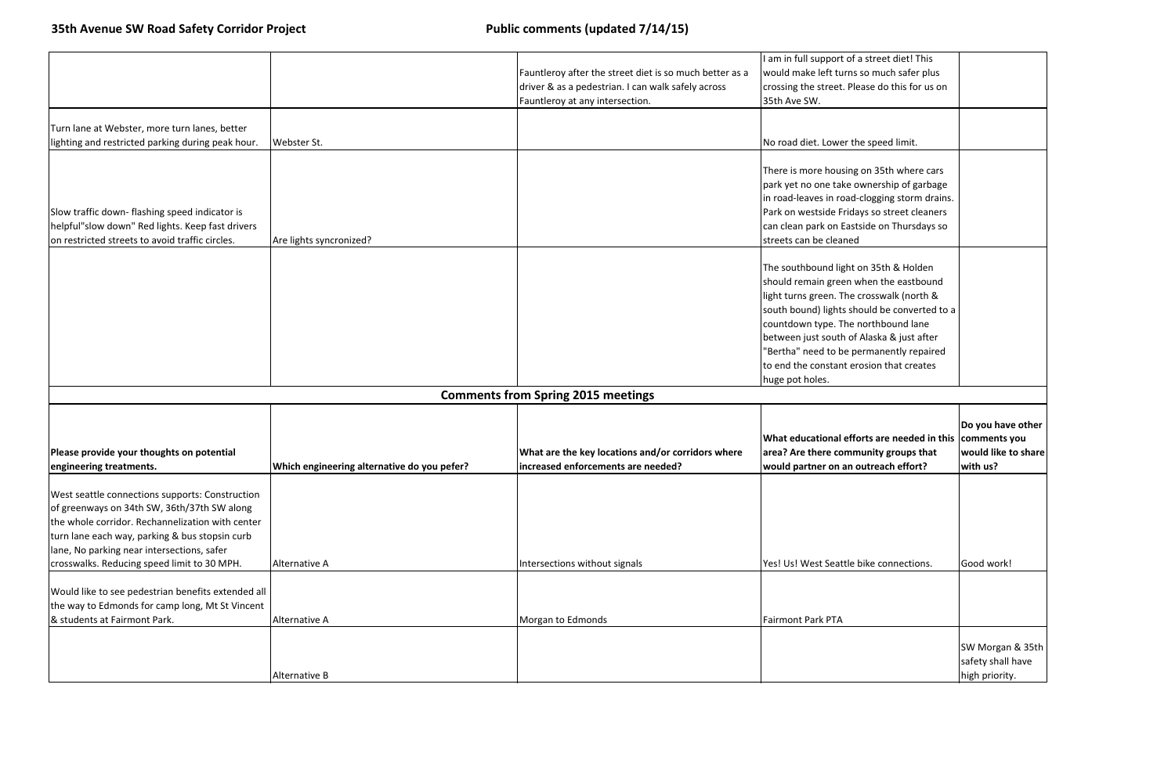| of a street diet! This     |                                     |
|----------------------------|-------------------------------------|
| ns so much safer plus      |                                     |
| Please do this for us on   |                                     |
|                            |                                     |
|                            |                                     |
|                            |                                     |
| the speed limit.           |                                     |
|                            |                                     |
| ng on 35th where cars      |                                     |
| e ownership of garbage     |                                     |
| ad-clogging storm drains.  |                                     |
| idays so street cleaners   |                                     |
| astside on Thursdays so    |                                     |
| ed                         |                                     |
|                            |                                     |
| ht on 35th & Holden        |                                     |
| n when the eastbound       |                                     |
| ne crosswalk (north &      |                                     |
| should be converted to a   |                                     |
| e northbound lane          |                                     |
| of Alaska & just after     |                                     |
| permanently repaired       |                                     |
|                            |                                     |
| erosion that creates       |                                     |
|                            |                                     |
|                            |                                     |
|                            | Do you have other                   |
| fforts are needed in this! | comments you                        |
| nmunity groups that        | would like to share                 |
| n outreach effort?         | with us?                            |
|                            |                                     |
|                            |                                     |
|                            |                                     |
|                            |                                     |
|                            |                                     |
|                            |                                     |
|                            |                                     |
|                            |                                     |
|                            | Good work!                          |
|                            |                                     |
| le bike connections.       |                                     |
|                            |                                     |
|                            |                                     |
|                            |                                     |
|                            | SW Morgan & 35th                    |
|                            | safety shall have<br>high priority. |

|                                                                                                                                                                                                                                                                                                   |                                             | Fauntleroy after the street diet is so much better as a<br>driver & as a pedestrian. I can walk safely across<br>Fauntleroy at any intersection. | I am in full support of a street diet! This<br>would make left turns so much safer plus<br>crossing the street. Please do this for us on<br>35th Ave SW.                                                                                                                                                                                                                    |                                                  |
|---------------------------------------------------------------------------------------------------------------------------------------------------------------------------------------------------------------------------------------------------------------------------------------------------|---------------------------------------------|--------------------------------------------------------------------------------------------------------------------------------------------------|-----------------------------------------------------------------------------------------------------------------------------------------------------------------------------------------------------------------------------------------------------------------------------------------------------------------------------------------------------------------------------|--------------------------------------------------|
| Turn lane at Webster, more turn lanes, better<br>lighting and restricted parking during peak hour.                                                                                                                                                                                                | Webster St.                                 |                                                                                                                                                  | No road diet. Lower the speed limit.                                                                                                                                                                                                                                                                                                                                        |                                                  |
| Slow traffic down-flashing speed indicator is<br>helpful"slow down" Red lights. Keep fast drivers<br>on restricted streets to avoid traffic circles.                                                                                                                                              | Are lights syncronized?                     |                                                                                                                                                  | There is more housing on 35th where cars<br>park yet no one take ownership of garbage<br>in road-leaves in road-clogging storm drains.<br>Park on westside Fridays so street cleaners<br>can clean park on Eastside on Thursdays so<br>streets can be cleaned                                                                                                               |                                                  |
|                                                                                                                                                                                                                                                                                                   |                                             |                                                                                                                                                  | The southbound light on 35th & Holden<br>should remain green when the eastbound<br>light turns green. The crosswalk (north &<br>south bound) lights should be converted to a<br>countdown type. The northbound lane<br>between just south of Alaska & just after<br>"Bertha" need to be permanently repaired<br>to end the constant erosion that creates<br>huge pot holes. |                                                  |
|                                                                                                                                                                                                                                                                                                   |                                             | <b>Comments from Spring 2015 meetings</b>                                                                                                        |                                                                                                                                                                                                                                                                                                                                                                             |                                                  |
| Please provide your thoughts on potential<br>engineering treatments.                                                                                                                                                                                                                              | Which engineering alternative do you pefer? | What are the key locations and/or corridors where<br>increased enforcements are needed?                                                          | What educational efforts are needed in this comments<br>area? Are there community groups that<br>would partner on an outreach effort?                                                                                                                                                                                                                                       | Do you hav<br>would like<br>with us?             |
| West seattle connections supports: Construction<br>of greenways on 34th SW, 36th/37th SW along<br>the whole corridor. Rechannelization with center<br>turn lane each way, parking & bus stopsin curb<br>lane, No parking near intersections, safer<br>crosswalks. Reducing speed limit to 30 MPH. | Alternative A                               | Intersections without signals                                                                                                                    | Yes! Us! West Seattle bike connections.                                                                                                                                                                                                                                                                                                                                     | Good work                                        |
| Would like to see pedestrian benefits extended all<br>the way to Edmonds for camp long, Mt St Vincent<br>& students at Fairmont Park.                                                                                                                                                             | Alternative A                               | Morgan to Edmonds                                                                                                                                | <b>Fairmont Park PTA</b>                                                                                                                                                                                                                                                                                                                                                    |                                                  |
|                                                                                                                                                                                                                                                                                                   | Alternative B                               |                                                                                                                                                  |                                                                                                                                                                                                                                                                                                                                                                             | <b>SW Morgar</b><br>safety shall<br>high priorit |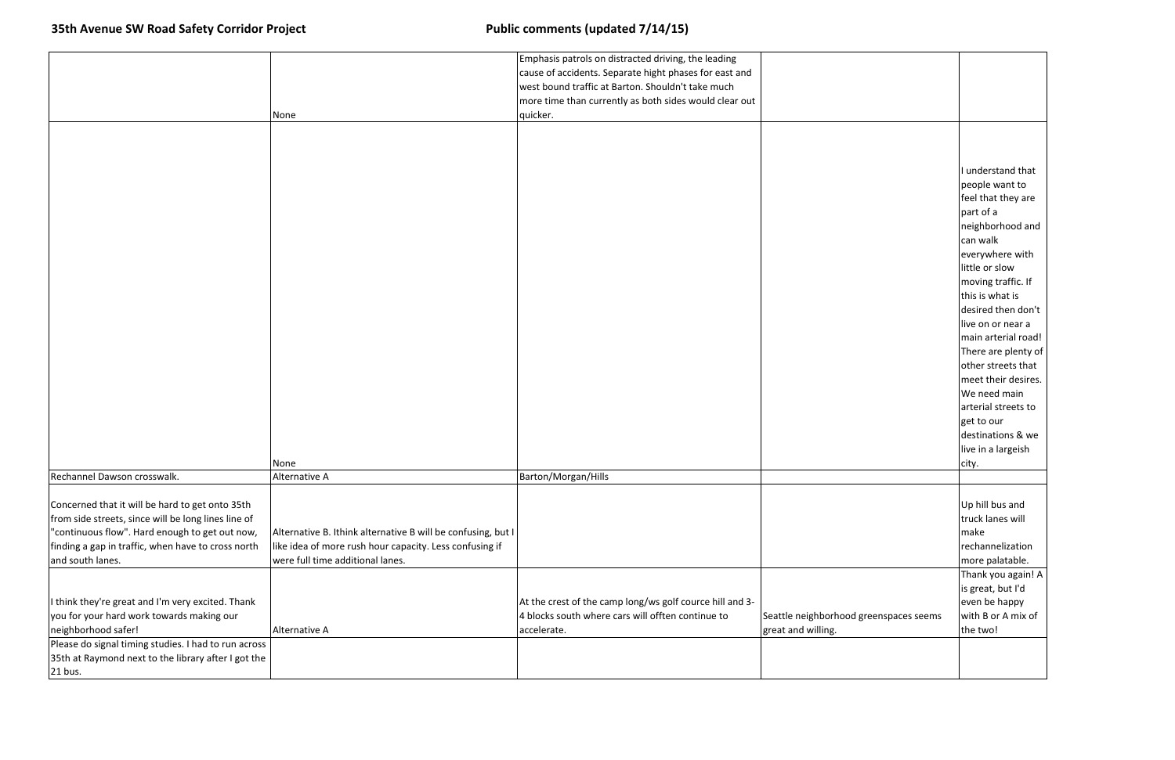|                                                      |                                                              | Emphasis patrols on distracted driving, the leading      |                                        |                     |
|------------------------------------------------------|--------------------------------------------------------------|----------------------------------------------------------|----------------------------------------|---------------------|
|                                                      |                                                              | cause of accidents. Separate hight phases for east and   |                                        |                     |
|                                                      |                                                              | west bound traffic at Barton. Shouldn't take much        |                                        |                     |
|                                                      |                                                              | more time than currently as both sides would clear out   |                                        |                     |
|                                                      | None                                                         | quicker.                                                 |                                        |                     |
|                                                      |                                                              |                                                          |                                        |                     |
|                                                      |                                                              |                                                          |                                        |                     |
|                                                      |                                                              |                                                          |                                        |                     |
|                                                      |                                                              |                                                          |                                        | I understand that   |
|                                                      |                                                              |                                                          |                                        | people want to      |
|                                                      |                                                              |                                                          |                                        | feel that they are  |
|                                                      |                                                              |                                                          |                                        | part of a           |
|                                                      |                                                              |                                                          |                                        | neighborhood and    |
|                                                      |                                                              |                                                          |                                        | can walk            |
|                                                      |                                                              |                                                          |                                        | everywhere with     |
|                                                      |                                                              |                                                          |                                        | little or slow      |
|                                                      |                                                              |                                                          |                                        | moving traffic. If  |
|                                                      |                                                              |                                                          |                                        | this is what is     |
|                                                      |                                                              |                                                          |                                        | desired then don't  |
|                                                      |                                                              |                                                          |                                        |                     |
|                                                      |                                                              |                                                          |                                        | live on or near a   |
|                                                      |                                                              |                                                          |                                        | main arterial road! |
|                                                      |                                                              |                                                          |                                        | There are plenty of |
|                                                      |                                                              |                                                          |                                        | other streets that  |
|                                                      |                                                              |                                                          |                                        | meet their desires. |
|                                                      |                                                              |                                                          |                                        | We need main        |
|                                                      |                                                              |                                                          |                                        | arterial streets to |
|                                                      |                                                              |                                                          |                                        | get to our          |
|                                                      |                                                              |                                                          |                                        | destinations & we   |
|                                                      |                                                              |                                                          |                                        | live in a largeish  |
|                                                      | None                                                         |                                                          |                                        | city.               |
| Rechannel Dawson crosswalk.                          | Alternative A                                                | Barton/Morgan/Hills                                      |                                        |                     |
|                                                      |                                                              |                                                          |                                        |                     |
| Concerned that it will be hard to get onto 35th      |                                                              |                                                          |                                        | Up hill bus and     |
| from side streets, since will be long lines line of  |                                                              |                                                          |                                        | truck lanes will    |
| "continuous flow". Hard enough to get out now,       | Alternative B. Ithink alternative B will be confusing, but I |                                                          |                                        | make                |
| finding a gap in traffic, when have to cross north   | like idea of more rush hour capacity. Less confusing if      |                                                          |                                        | rechannelization    |
| and south lanes.                                     | were full time additional lanes.                             |                                                          |                                        | more palatable.     |
|                                                      |                                                              |                                                          |                                        | Thank you again! A  |
|                                                      |                                                              |                                                          |                                        | is great, but I'd   |
| I think they're great and I'm very excited. Thank    |                                                              | At the crest of the camp long/ws golf cource hill and 3- |                                        | even be happy       |
| you for your hard work towards making our            |                                                              | 4 blocks south where cars will offten continue to        | Seattle neighborhood greenspaces seems | with B or A mix of  |
| neighborhood safer!                                  | Alternative A                                                | accelerate.                                              | great and willing.                     | the two!            |
| Please do signal timing studies. I had to run across |                                                              |                                                          |                                        |                     |
| 35th at Raymond next to the library after I got the  |                                                              |                                                          |                                        |                     |
| 21 bus.                                              |                                                              |                                                          |                                        |                     |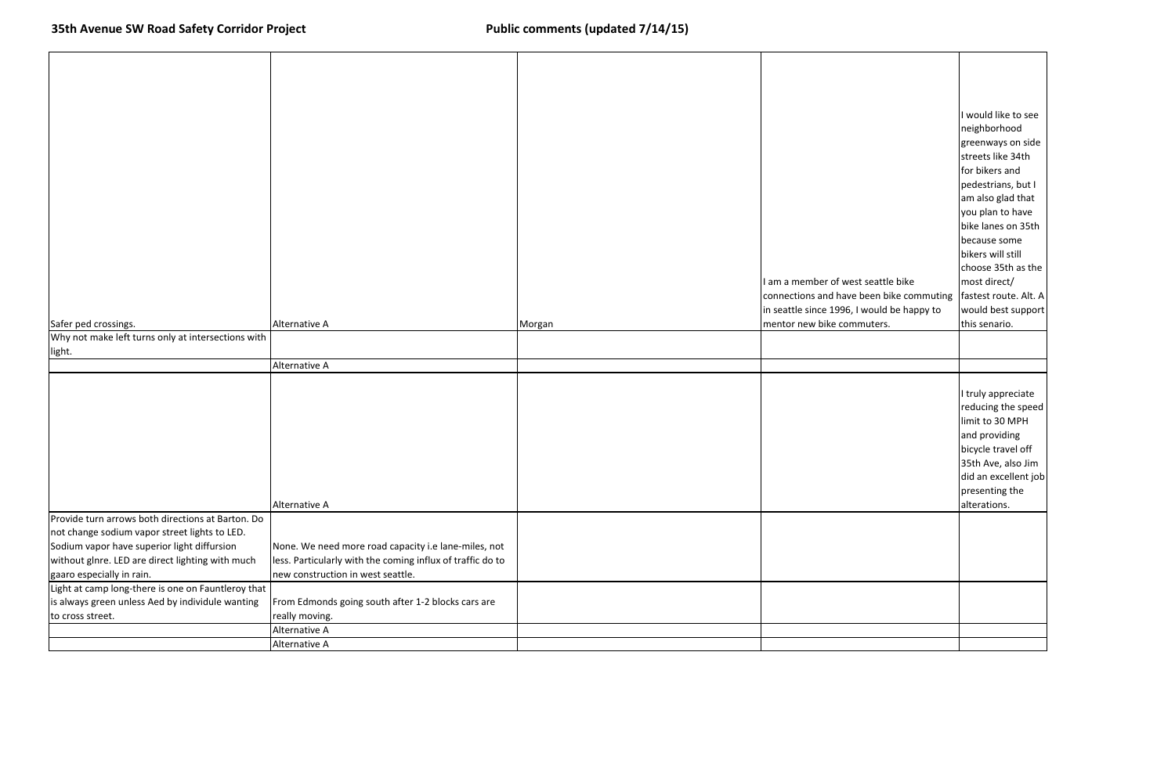|                                                                                                    |                                                            |        |                                                                  | I would like to see<br>neighborhood<br>greenways on side<br>streets like 34th<br>for bikers and<br>pedestrians, but I<br>am also glad that<br>you plan to have<br>bike lanes on 35th |
|----------------------------------------------------------------------------------------------------|------------------------------------------------------------|--------|------------------------------------------------------------------|--------------------------------------------------------------------------------------------------------------------------------------------------------------------------------------|
|                                                                                                    |                                                            |        |                                                                  | because some                                                                                                                                                                         |
|                                                                                                    |                                                            |        |                                                                  | bikers will still<br>choose 35th as the                                                                                                                                              |
|                                                                                                    |                                                            |        | I am a member of west seattle bike                               | most direct/                                                                                                                                                                         |
|                                                                                                    |                                                            |        | connections and have been bike commuting   fastest route. Alt. A |                                                                                                                                                                                      |
|                                                                                                    |                                                            |        | in seattle since 1996, I would be happy to                       | would best support                                                                                                                                                                   |
| Safer ped crossings.                                                                               | Alternative A                                              | Morgan | mentor new bike commuters.                                       | this senario.                                                                                                                                                                        |
| Why not make left turns only at intersections with<br>light.                                       |                                                            |        |                                                                  |                                                                                                                                                                                      |
|                                                                                                    | Alternative A                                              |        |                                                                  |                                                                                                                                                                                      |
|                                                                                                    |                                                            |        |                                                                  |                                                                                                                                                                                      |
|                                                                                                    | Alternative A                                              |        |                                                                  | I truly appreciate<br>reducing the speed<br>limit to 30 MPH<br>and providing<br>bicycle travel off<br>35th Ave, also Jim<br>did an excellent job<br>presenting the<br>alterations.   |
| Provide turn arrows both directions at Barton. Do<br>not change sodium vapor street lights to LED. |                                                            |        |                                                                  |                                                                                                                                                                                      |
| Sodium vapor have superior light diffursion                                                        | None. We need more road capacity i.e lane-miles, not       |        |                                                                  |                                                                                                                                                                                      |
| without glnre. LED are direct lighting with much                                                   | less. Particularly with the coming influx of traffic do to |        |                                                                  |                                                                                                                                                                                      |
| gaaro especially in rain.                                                                          | new construction in west seattle.                          |        |                                                                  |                                                                                                                                                                                      |
| Light at camp long-there is one on Fauntleroy that                                                 |                                                            |        |                                                                  |                                                                                                                                                                                      |
| is always green unless Aed by individule wanting                                                   | From Edmonds going south after 1-2 blocks cars are         |        |                                                                  |                                                                                                                                                                                      |
| to cross street.                                                                                   | really moving.<br>Alternative A                            |        |                                                                  |                                                                                                                                                                                      |
|                                                                                                    | Alternative A                                              |        |                                                                  |                                                                                                                                                                                      |
|                                                                                                    |                                                            |        |                                                                  |                                                                                                                                                                                      |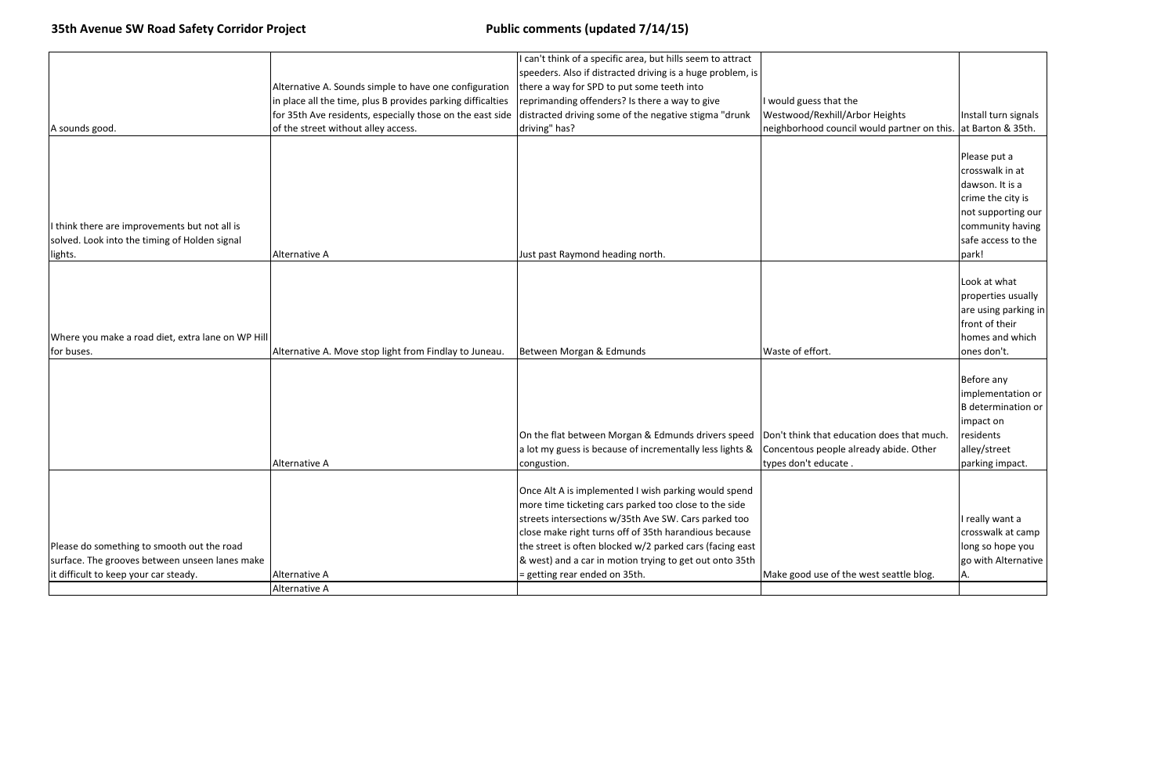|                                                   |                                                             | I can't think of a specific area, but hills seem to attract |                                            |
|---------------------------------------------------|-------------------------------------------------------------|-------------------------------------------------------------|--------------------------------------------|
|                                                   |                                                             | speeders. Also if distracted driving is a huge problem, is  |                                            |
|                                                   | Alternative A. Sounds simple to have one configuration      | there a way for SPD to put some teeth into                  |                                            |
|                                                   | in place all the time, plus B provides parking difficalties | reprimanding offenders? Is there a way to give              | I would guess that the                     |
|                                                   | for 35th Ave residents, especially those on the east side   | distracted driving some of the negative stigma "drunk       | Westwood/Rexhill/Arbor Heights             |
| A sounds good.                                    | of the street without alley access.                         | driving" has?                                               | neighborhood council would partner on this |
|                                                   |                                                             |                                                             |                                            |
|                                                   |                                                             |                                                             |                                            |
|                                                   |                                                             |                                                             |                                            |
|                                                   |                                                             |                                                             |                                            |
|                                                   |                                                             |                                                             |                                            |
|                                                   |                                                             |                                                             |                                            |
| I think there are improvements but not all is     |                                                             |                                                             |                                            |
| solved. Look into the timing of Holden signal     |                                                             |                                                             |                                            |
| lights.                                           | Alternative A                                               | Just past Raymond heading north.                            |                                            |
|                                                   |                                                             |                                                             |                                            |
|                                                   |                                                             |                                                             |                                            |
|                                                   |                                                             |                                                             |                                            |
|                                                   |                                                             |                                                             |                                            |
|                                                   |                                                             |                                                             |                                            |
| Where you make a road diet, extra lane on WP Hill |                                                             |                                                             |                                            |
| for buses.                                        | Alternative A. Move stop light from Findlay to Juneau.      | Between Morgan & Edmunds                                    | Waste of effort.                           |
|                                                   |                                                             |                                                             |                                            |
|                                                   |                                                             |                                                             |                                            |
|                                                   |                                                             |                                                             |                                            |
|                                                   |                                                             |                                                             |                                            |
|                                                   |                                                             |                                                             |                                            |
|                                                   |                                                             | On the flat between Morgan & Edmunds drivers speed          | Don't think that education does that much. |
|                                                   |                                                             | a lot my guess is because of incrementally less lights &    | Concentous people already abide. Other     |
|                                                   | Alternative A                                               | congustion.                                                 | types don't educate                        |
|                                                   |                                                             |                                                             |                                            |
|                                                   |                                                             | Once Alt A is implemented I wish parking would spend        |                                            |
|                                                   |                                                             | more time ticketing cars parked too close to the side       |                                            |
|                                                   |                                                             | streets intersections w/35th Ave SW. Cars parked too        |                                            |
|                                                   |                                                             | close make right turns off of 35th harandious because       |                                            |
| Please do something to smooth out the road        |                                                             | the street is often blocked w/2 parked cars (facing east    |                                            |
| surface. The grooves between unseen lanes make    |                                                             | & west) and a car in motion trying to get out onto 35th     |                                            |
| it difficult to keep your car steady.             | Alternative A                                               | = getting rear ended on 35th.                               | Make good use of the west seattle blog.    |
|                                                   | Alternative A                                               |                                                             |                                            |
|                                                   |                                                             |                                                             |                                            |

| or Heights<br>ould partner on this.    | Install turn signals<br>at Barton & 35th.                                                                                                        |
|----------------------------------------|--------------------------------------------------------------------------------------------------------------------------------------------------|
|                                        | Please put a<br>crosswalk in at<br>dawson. It is a<br>crime the city is<br>not supporting our<br>community having<br>safe access to the<br>park! |
|                                        | Look at what<br>properties usually<br>are using parking in<br>front of their<br>homes and which<br>ones don't.                                   |
| on does that much.<br>ady abide. Other | Before any<br>implementation or<br><b>B</b> determination or<br>impact on<br>residents<br>alley/street<br>parking impact.                        |
| est seattle blog.                      | I really want a<br>crosswalk at camp<br>long so hope you<br>go with Alternative<br>А.                                                            |
|                                        |                                                                                                                                                  |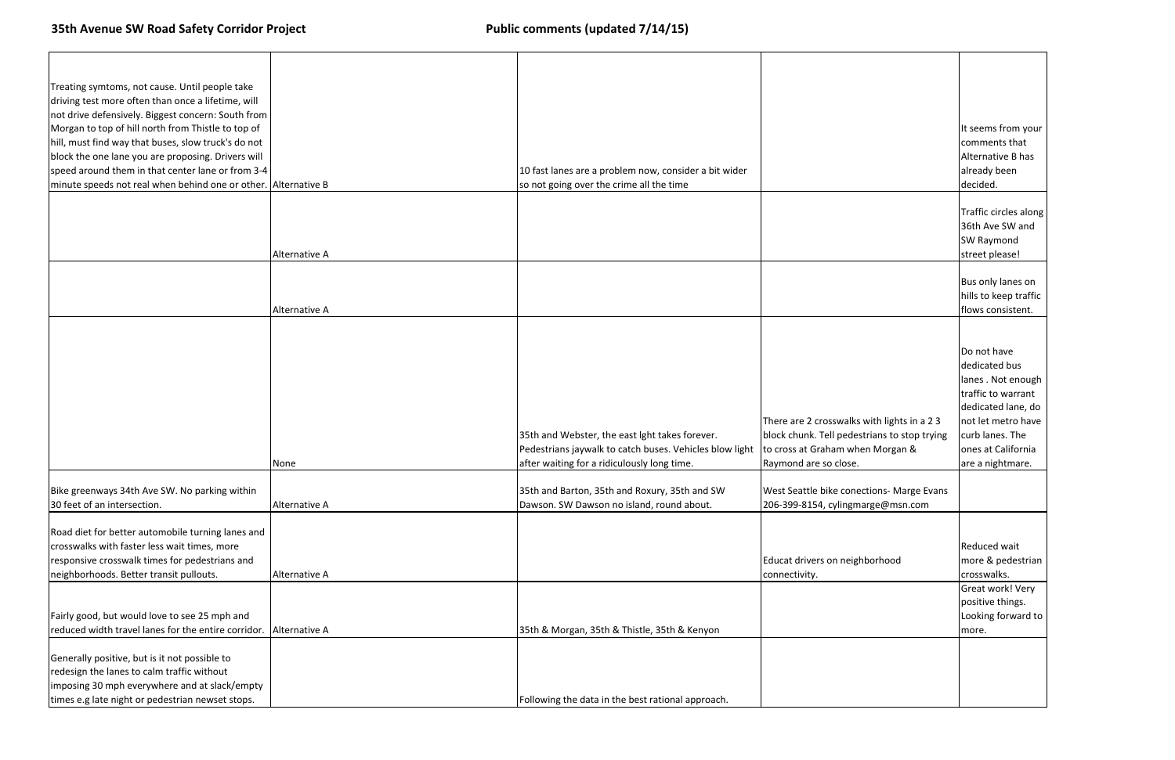| Treating symtoms, not cause. Until people take                 |               |                                                         |                                              |                                          |
|----------------------------------------------------------------|---------------|---------------------------------------------------------|----------------------------------------------|------------------------------------------|
| driving test more often than once a lifetime, will             |               |                                                         |                                              |                                          |
| not drive defensively. Biggest concern: South from             |               |                                                         |                                              |                                          |
| Morgan to top of hill north from Thistle to top of             |               |                                                         |                                              | It seems from your                       |
| hill, must find way that buses, slow truck's do not            |               |                                                         |                                              | comments that                            |
| block the one lane you are proposing. Drivers will             |               |                                                         |                                              | Alternative B has                        |
| speed around them in that center lane or from 3-4              |               | 10 fast lanes are a problem now, consider a bit wider   |                                              | already been                             |
| minute speeds not real when behind one or other. Alternative B |               | so not going over the crime all the time                |                                              | decided.                                 |
|                                                                |               |                                                         |                                              |                                          |
|                                                                |               |                                                         |                                              | Traffic circles along<br>36th Ave SW and |
|                                                                |               |                                                         |                                              |                                          |
|                                                                | Alternative A |                                                         |                                              | SW Raymond<br>street please!             |
|                                                                |               |                                                         |                                              |                                          |
|                                                                |               |                                                         |                                              | Bus only lanes on                        |
|                                                                |               |                                                         |                                              | hills to keep traffic                    |
|                                                                | Alternative A |                                                         |                                              | flows consistent.                        |
|                                                                |               |                                                         |                                              |                                          |
|                                                                |               |                                                         |                                              |                                          |
|                                                                |               |                                                         |                                              | Do not have                              |
|                                                                |               |                                                         |                                              | dedicated bus                            |
|                                                                |               |                                                         |                                              | lanes. Not enough                        |
|                                                                |               |                                                         |                                              | traffic to warrant                       |
|                                                                |               |                                                         |                                              | dedicated lane, do                       |
|                                                                |               |                                                         | There are 2 crosswalks with lights in a 23   | not let metro have                       |
|                                                                |               | 35th and Webster, the east lght takes forever.          | block chunk. Tell pedestrians to stop trying | curb lanes. The                          |
|                                                                |               | Pedestrians jaywalk to catch buses. Vehicles blow light | to cross at Graham when Morgan &             | ones at California                       |
|                                                                | None          | after waiting for a ridiculously long time.             | Raymond are so close.                        | are a nightmare.                         |
|                                                                |               |                                                         |                                              |                                          |
| Bike greenways 34th Ave SW. No parking within                  |               | 35th and Barton, 35th and Roxury, 35th and SW           | West Seattle bike conections- Marge Evans    |                                          |
| 30 feet of an intersection.                                    | Alternative A | Dawson. SW Dawson no island, round about.               | 206-399-8154, cylingmarge@msn.com            |                                          |
|                                                                |               |                                                         |                                              |                                          |
| Road diet for better automobile turning lanes and              |               |                                                         |                                              |                                          |
| crosswalks with faster less wait times, more                   |               |                                                         |                                              | Reduced wait                             |
| responsive crosswalk times for pedestrians and                 |               |                                                         | Educat drivers on neighborhood               | more & pedestrian                        |
| neighborhoods. Better transit pullouts.                        | Alternative A |                                                         | connectivity.                                | crosswalks.                              |
|                                                                |               |                                                         |                                              | Great work! Very                         |
|                                                                |               |                                                         |                                              | positive things.                         |
| Fairly good, but would love to see 25 mph and                  |               |                                                         |                                              | Looking forward to                       |
| reduced width travel lanes for the entire corridor.            | Alternative A | 35th & Morgan, 35th & Thistle, 35th & Kenyon            |                                              | more.                                    |
|                                                                |               |                                                         |                                              |                                          |
| Generally positive, but is it not possible to                  |               |                                                         |                                              |                                          |
| redesign the lanes to calm traffic without                     |               |                                                         |                                              |                                          |
| imposing 30 mph everywhere and at slack/empty                  |               |                                                         |                                              |                                          |
| times e.g late night or pedestrian newset stops.               |               | Following the data in the best rational approach.       |                                              |                                          |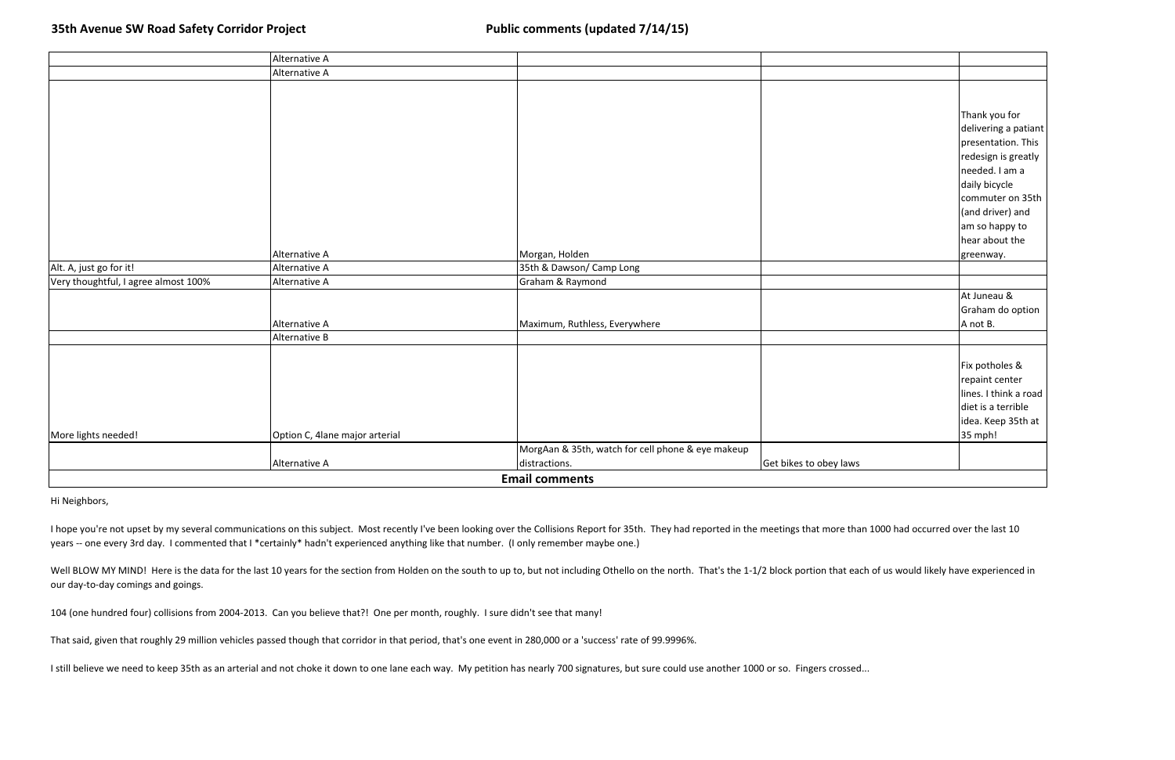|                                      | Alternative A                  |                                                   |                        |                       |  |
|--------------------------------------|--------------------------------|---------------------------------------------------|------------------------|-----------------------|--|
|                                      | Alternative A                  |                                                   |                        |                       |  |
|                                      |                                |                                                   |                        |                       |  |
|                                      |                                |                                                   |                        | Thank you for         |  |
|                                      |                                |                                                   |                        | delivering a patiant  |  |
|                                      |                                |                                                   |                        | presentation. This    |  |
|                                      |                                |                                                   |                        | redesign is greatly   |  |
|                                      |                                |                                                   |                        | needed. I am a        |  |
|                                      |                                |                                                   |                        | daily bicycle         |  |
|                                      |                                |                                                   |                        | commuter on 35th      |  |
|                                      |                                |                                                   |                        | (and driver) and      |  |
|                                      |                                |                                                   |                        | am so happy to        |  |
|                                      |                                |                                                   |                        | hear about the        |  |
|                                      | Alternative A                  | Morgan, Holden                                    |                        | greenway.             |  |
| Alt. A, just go for it!              | Alternative A                  | 35th & Dawson/ Camp Long                          |                        |                       |  |
| Very thoughtful, I agree almost 100% | Alternative A                  | Graham & Raymond                                  |                        |                       |  |
|                                      |                                |                                                   |                        | At Juneau &           |  |
|                                      |                                |                                                   |                        | Graham do option      |  |
|                                      | Alternative A                  | Maximum, Ruthless, Everywhere                     |                        | A not B.              |  |
|                                      | Alternative B                  |                                                   |                        |                       |  |
|                                      |                                |                                                   |                        |                       |  |
|                                      |                                |                                                   |                        | Fix potholes &        |  |
|                                      |                                |                                                   |                        | repaint center        |  |
|                                      |                                |                                                   |                        | lines. I think a road |  |
|                                      |                                |                                                   |                        | diet is a terrible    |  |
|                                      |                                |                                                   |                        | idea. Keep 35th at    |  |
| More lights needed!                  | Option C, 4lane major arterial |                                                   |                        | 35 mph!               |  |
|                                      |                                | MorgAan & 35th, watch for cell phone & eye makeup |                        |                       |  |
|                                      | Alternative A                  | distractions.                                     | Get bikes to obey laws |                       |  |
| <b>Email comments</b>                |                                |                                                   |                        |                       |  |

I hope you're not upset by my several communications on this subject. Most recently I've been looking over the Collisions Report for 35th. They had reported in the meetings that more than 1000 had occurred over the last 10 years -- one every 3rd day. I commented that I \*certainly\* hadn't experienced anything like that number. (I only remember maybe one.)

Well BLOW MY MIND! Here is the data for the last 10 years for the section from Holden on the south to up to, but not including Othello on the north. That's the 1-1/2 block portion that each of us would likely have experien our day-to-day comings and goings.

Hi Neighbors,

104 (one hundred four) collisions from 2004-2013. Can you believe that?! One per month, roughly. I sure didn't see that many!

That said, given that roughly 29 million vehicles passed though that corridor in that period, that's one event in 280,000 or a 'success' rate of 99.9996%.

I still believe we need to keep 35th as an arterial and not choke it down to one lane each way. My petition has nearly 700 signatures, but sure could use another 1000 or so. Fingers crossed...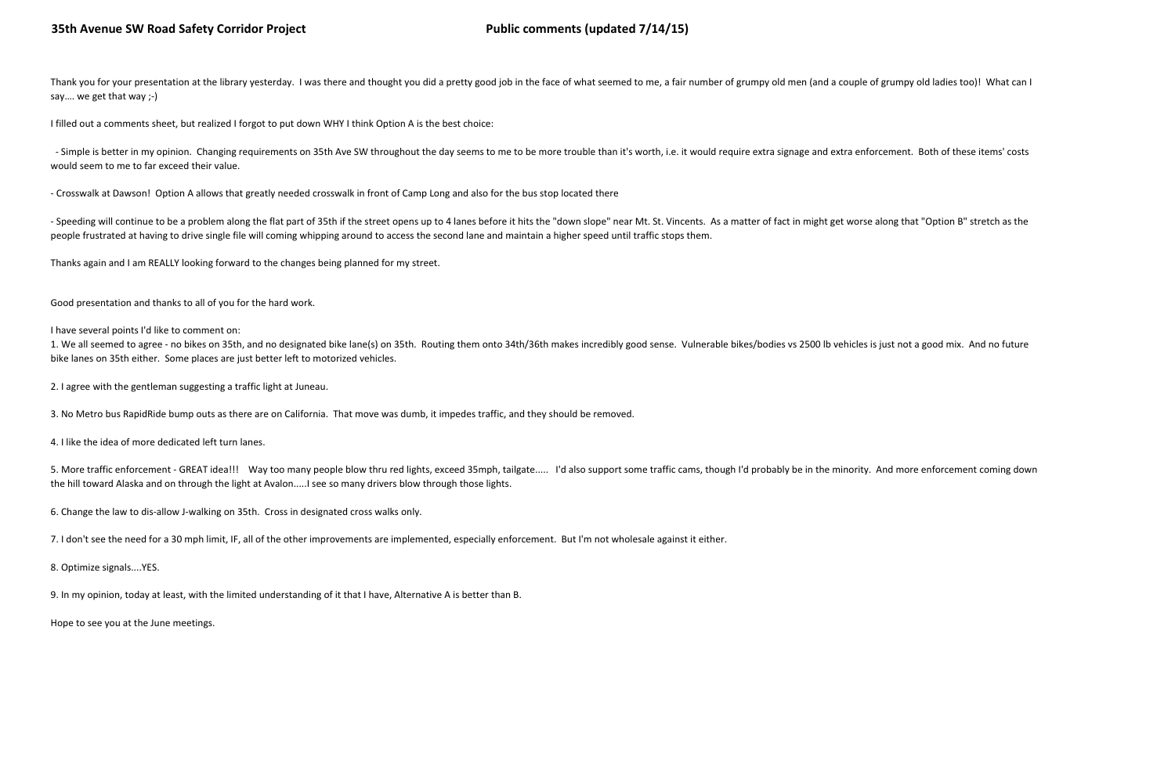Thank you for your presentation at the library yesterday. I was there and thought you did a pretty good job in the face of what seemed to me, a fair number of grumpy old men (and a couple of grumpy old ladies too)! What ca say…. we get that way ;-)

- Simple is better in my opinion. Changing requirements on 35th Ave SW throughout the day seems to me to be more trouble than it's worth, i.e. it would require extra signage and extra enforcement. Both of these items' cost would seem to me to far exceed their value.

I filled out a comments sheet, but realized I forgot to put down WHY I think Option A is the best choice:

- Speeding will continue to be a problem along the flat part of 35th if the street opens up to 4 lanes before it hits the "down slope" near Mt. St. Vincents. As a matter of fact in might get worse along that "Option B" str people frustrated at having to drive single file will coming whipping around to access the second lane and maintain a higher speed until traffic stops them.

- Crosswalk at Dawson! Option A allows that greatly needed crosswalk in front of Camp Long and also for the bus stop located there

Thanks again and I am REALLY looking forward to the changes being planned for my street.

Good presentation and thanks to all of you for the hard work.

I have several points I'd like to comment on:

1. We all seemed to agree - no bikes on 35th, and no designated bike lane(s) on 35th. Routing them onto 34th/36th makes incredibly good sense. Vulnerable bikes/bodies vs 2500 lb vehicles is just not a good mix. And no future bike lanes on 35th either. Some places are just better left to motorized vehicles.

2. I agree with the gentleman suggesting a traffic light at Juneau.

3. No Metro bus RapidRide bump outs as there are on California. That move was dumb, it impedes traffic, and they should be removed.

4. I like the idea of more dedicated left turn lanes.

5. More traffic enforcement - GREAT idea!!! Way too many people blow thru red lights, exceed 35mph, tailgate..... I'd also support some traffic cams, though I'd probably be in the minority. And more enforcement coming down the hill toward Alaska and on through the light at Avalon.....I see so many drivers blow through those lights.

6. Change the law to dis-allow J-walking on 35th. Cross in designated cross walks only.

7. I don't see the need for a 30 mph limit, IF, all of the other improvements are implemented, especially enforcement. But I'm not wholesale against it either.

8. Optimize signals....YES.

9. In my opinion, today at least, with the limited understanding of it that I have, Alternative A is better than B.

Hope to see you at the June meetings.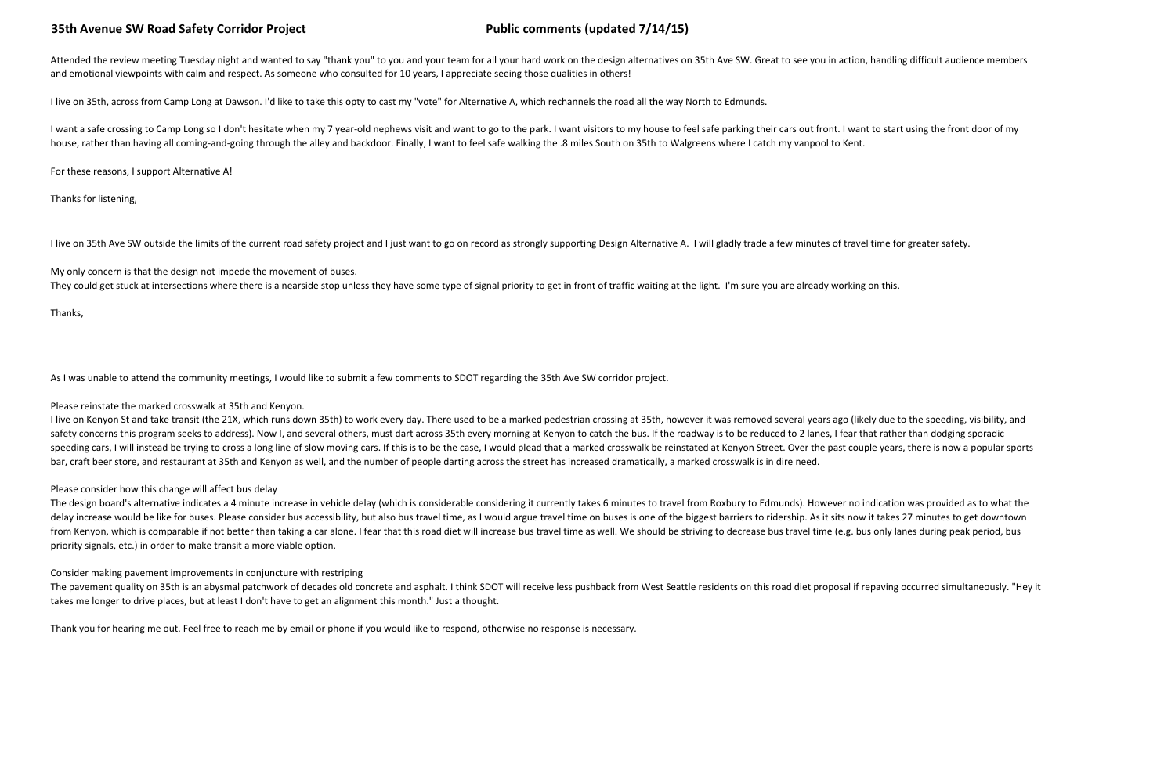Attended the review meeting Tuesday night and wanted to say "thank you" to you and your team for all your hard work on the design alternatives on 35th Ave SW. Great to see you in action, handling difficult audience members and emotional viewpoints with calm and respect. As someone who consulted for 10 years, I appreciate seeing those qualities in others!

I live on 35th, across from Camp Long at Dawson. I'd like to take this opty to cast my "vote" for Alternative A, which rechannels the road all the way North to Edmunds.

I want a safe crossing to Camp Long so I don't hesitate when my 7 year-old nephews visit and want to go to the park. I want visitors to my house to feel safe parking their cars out front. I want to start using the front do house, rather than having all coming-and-going through the alley and backdoor. Finally, I want to feel safe walking the .8 miles South on 35th to Walgreens where I catch my vanpool to Kent.

My only concern is that the design not impede the movement of buses. They could get stuck at intersections where there is a nearside stop unless they have some type of signal priority to get in front of traffic waiting at the light. I'm sure you are already working on this.

For these reasons, I support Alternative A!

Thanks for listening,

I live on 35th Ave SW outside the limits of the current road safety project and I just want to go on record as strongly supporting Design Alternative A. I will gladly trade a few minutes of travel time for greater safety.

I live on Kenyon St and take transit (the 21X, which runs down 35th) to work every day. There used to be a marked pedestrian crossing at 35th, however it was removed several years ago (likely due to the speeding, visibilit safety concerns this program seeks to address). Now I, and several others, must dart across 35th every morning at Kenyon to catch the bus. If the roadway is to be reduced to 2 lanes, I fear that rather than dodging sporadi speeding cars, I will instead be trying to cross a long line of slow moving cars. If this is to be the case, I would plead that a marked crosswalk be reinstated at Kenyon Street. Over the past couple years, there is now a bar, craft beer store, and restaurant at 35th and Kenyon as well, and the number of people darting across the street has increased dramatically, a marked crosswalk is in dire need.

Thanks,

As I was unable to attend the community meetings, I would like to submit a few comments to SDOT regarding the 35th Ave SW corridor project.

The design board's alternative indicates a 4 minute increase in vehicle delay (which is considerable considering it currently takes 6 minutes to travel from Roxbury to Edmunds). However no indication was provided as to wha delay increase would be like for buses. Please consider bus accessibility, but also bus travel time, as I would argue travel time on buses is one of the biggest barriers to ridership. As it sits now it takes 27 minutes to from Kenyon, which is comparable if not better than taking a car alone. I fear that this road diet will increase bus travel time as well. We should be striving to decrease bus travel time (e.g. bus only lanes during peak p priority signals, etc.) in order to make transit a more viable option.

Please reinstate the marked crosswalk at 35th and Kenyon.

The pavement quality on 35th is an abysmal patchwork of decades old concrete and asphalt. I think SDOT will receive less pushback from West Seattle residents on this road diet proposal if repaving occurred simultaneously. takes me longer to drive places, but at least I don't have to get an alignment this month." Just a thought.

### Please consider how this change will affect bus delay

Consider making pavement improvements in conjuncture with restriping

Thank you for hearing me out. Feel free to reach me by email or phone if you would like to respond, otherwise no response is necessary.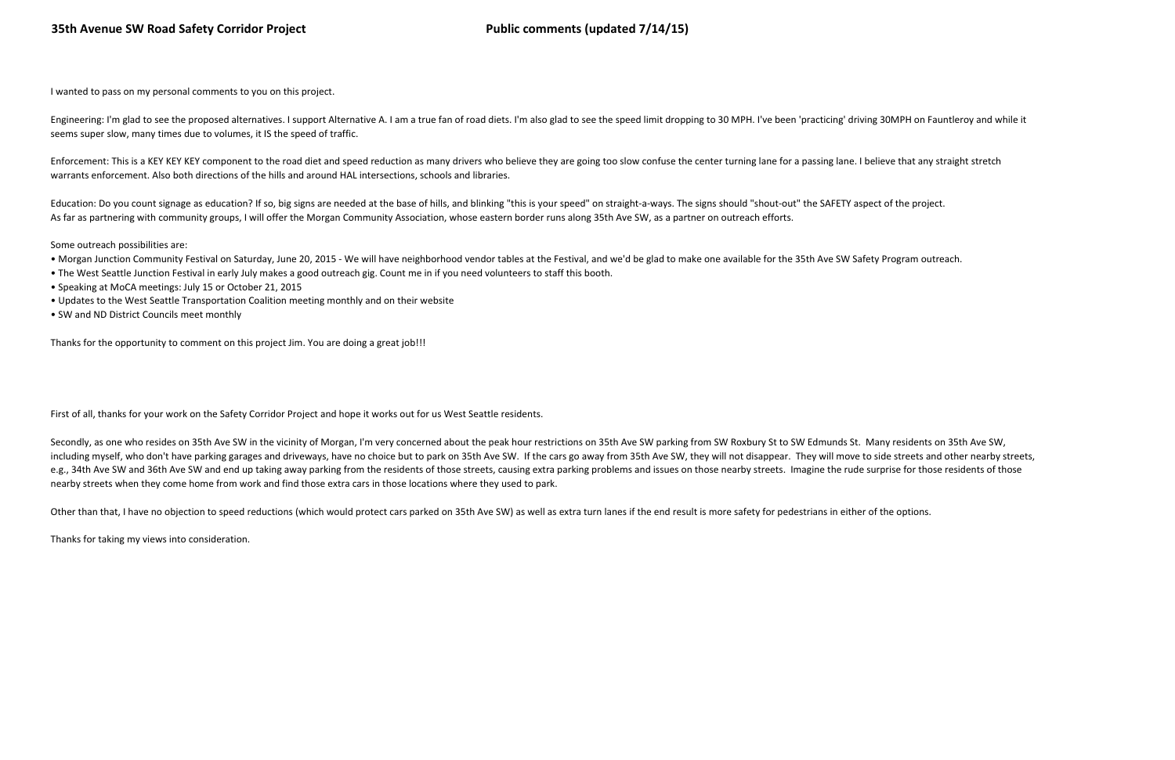I wanted to pass on my personal comments to you on this project.

Engineering: I'm glad to see the proposed alternatives. I support Alternative A. I am a true fan of road diets. I'm also glad to see the speed limit dropping to 30 MPH. I've been 'practicing' driving 30MPH on Fauntleroy an seems super slow, many times due to volumes, it IS the speed of traffic.

Enforcement: This is a KEY KEY KEY component to the road diet and speed reduction as many drivers who believe they are going too slow confuse the center turning lane for a passing lane. I believe that any straight stretch warrants enforcement. Also both directions of the hills and around HAL intersections, schools and libraries.

Education: Do you count signage as education? If so, big signs are needed at the base of hills, and blinking "this is your speed" on straight-a-ways. The signs should "shout-out" the SAFETY aspect of the project. As far as partnering with community groups, I will offer the Morgan Community Association, whose eastern border runs along 35th Ave SW, as a partner on outreach efforts.

Some outreach possibilities are:

Secondly, as one who resides on 35th Ave SW in the vicinity of Morgan, I'm very concerned about the peak hour restrictions on 35th Ave SW parking from SW Roxbury St to SW Edmunds St. Many residents on 35th Ave SW, including myself, who don't have parking garages and driveways, have no choice but to park on 35th Ave SW. If the cars go away from 35th Ave SW, they will not disappear. They will move to side streets and other nearby stre e.g., 34th Ave SW and 36th Ave SW and end up taking away parking from the residents of those streets, causing extra parking problems and issues on those nearby streets. Imagine the rude surprise for those residents of thos nearby streets when they come home from work and find those extra cars in those locations where they used to park.

Other than that, I have no objection to speed reductions (which would protect cars parked on 35th Ave SW) as well as extra turn lanes if the end result is more safety for pedestrians in either of the options.

- Morgan Junction Community Festival on Saturday, June 20, 2015 We will have neighborhood vendor tables at the Festival, and we'd be glad to make one available for the 35th Ave SW Safety Program outreach.
- The West Seattle Junction Festival in early July makes a good outreach gig. Count me in if you need volunteers to staff this booth.
- Speaking at MoCA meetings: July 15 or October 21, 2015
- Updates to the West Seattle Transportation Coalition meeting monthly and on their website
- SW and ND District Councils meet monthly

Thanks for the opportunity to comment on this project Jim. You are doing a great job!!!

First of all, thanks for your work on the Safety Corridor Project and hope it works out for us West Seattle residents.

Thanks for taking my views into consideration.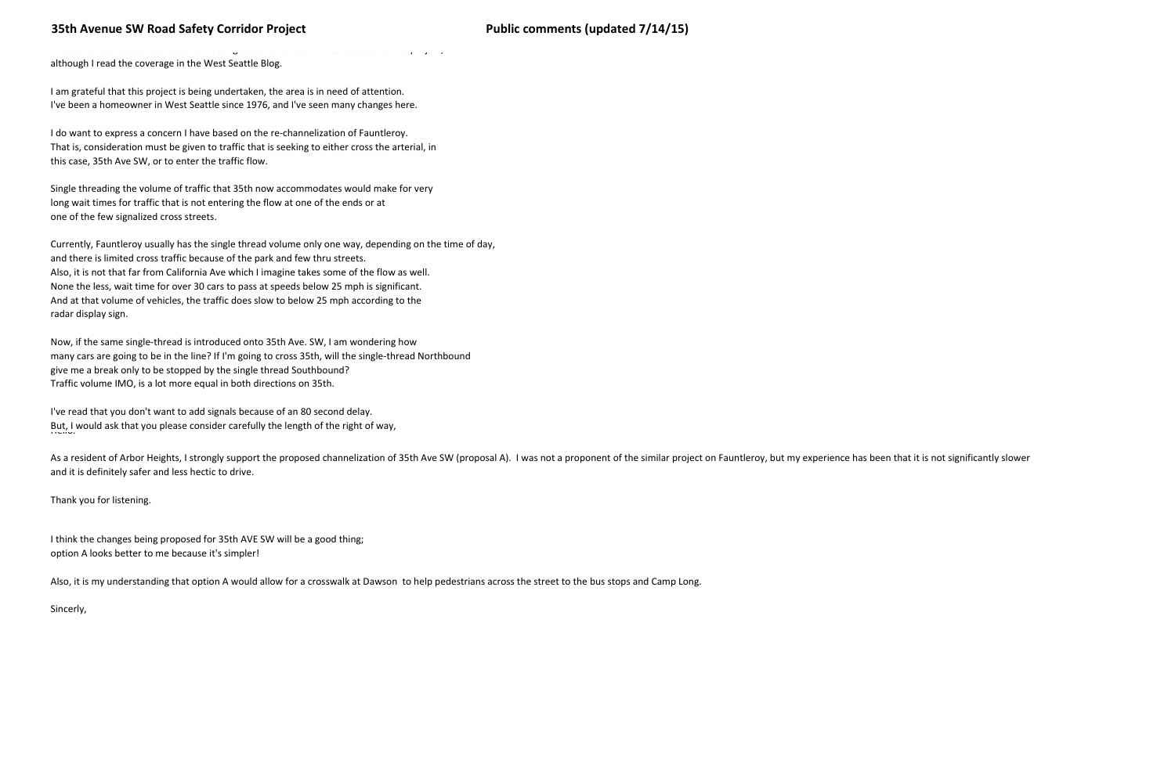I was unable to attend the last two meetings that were held in West Seattle for this project,

# 35th Avenue SW Road Safety Corridor Project **Public Comments (updated 7/14/15)**

although I read the coverage in the West Seattle Blog.

I am grateful that this project is being undertaken, the area is in need of attention.I've been a homeowner in West Seattle since 1976, and I've seen many changes here.

I do want to express a concern I have based on the re-channelization of Fauntleroy.That is, consideration must be given to traffic that is seeking to either cross the arterial, inthis case, 35th Ave SW, or to enter the traffic flow.

Single threading the volume of traffic that 35th now accommodates would make for verylong wait times for traffic that is not entering the flow at one of the ends or atone of the few signalized cross streets.

I've read that you don't want to add signals because of an 80 second delay.But, I would ask that you please consider carefully the length of the right of way,<br>''

As a resident of Arbor Heights, I strongly support the proposed channelization of 35th Ave SW (proposal A). I was not a proponent of the similar project on Fauntleroy, but my experience has been that it is not significantl and it is definitely safer and less hectic to drive.

Currently, Fauntleroy usually has the single thread volume only one way, depending on the time of day, and there is limited cross traffic because of the park and few thru streets.Also, it is not that far from California Ave which I imagine takes some of the flow as well.None the less, wait time for over 30 cars to pass at speeds below 25 mph is significant.And at that volume of vehicles, the traffic does slow to below 25 mph according to the radar display sign.

Now, if the same single-thread is introduced onto 35th Ave. SW, I am wondering how many cars are going to be in the line? If I'm going to cross 35th, will the single-thread Northboundgive me a break only to be stopped by the single thread Southbound?Traffic volume IMO, is a lot more equal in both directions on 35th.

Thank you for listening.

I think the changes being proposed for 35th AVE SW will be a good thing;option A looks better to me because it's simpler!

Also, it is my understanding that option A would allow for a crosswalk at Dawson to help pedestrians across the street to the bus stops and Camp Long.

Sincerly,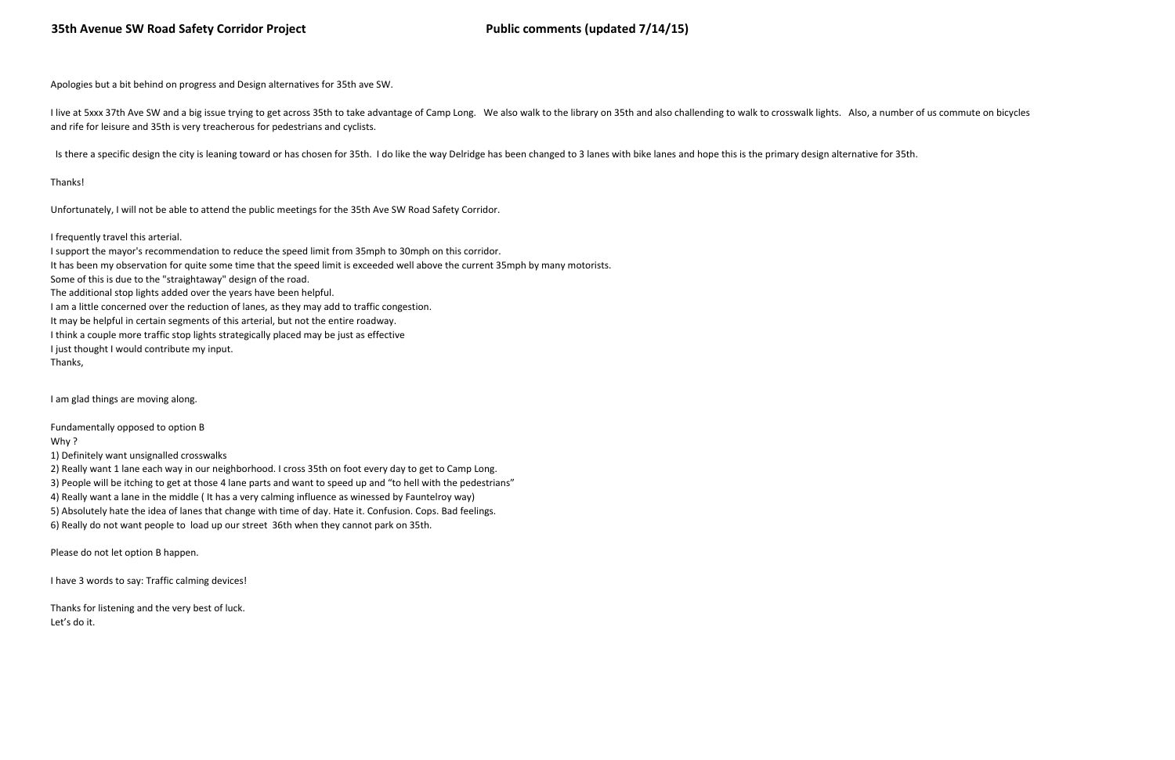Apologies but a bit behind on progress and Design alternatives for 35th ave SW.

I live at 5xxx 37th Ave SW and a big issue trying to get across 35th to take advantage of Camp Long. We also walk to the library on 35th and also challending to walk to crosswalk lights. Also, a number of us commute on bic and rife for leisure and 35th is very treacherous for pedestrians and cyclists.

Is there a specific design the city is leaning toward or has chosen for 35th. I do like the way Delridge has been changed to 3 lanes with bike lanes and hope this is the primary design alternative for 35th.

### Thanks!

Unfortunately, I will not be able to attend the public meetings for the 35th Ave SW Road Safety Corridor.

### I frequently travel this arterial.

I support the mayor's recommendation to reduce the speed limit from 35mph to 30mph on this corridor.It has been my observation for quite some time that the speed limit is exceeded well above the current 35mph by many motorists.Some of this is due to the "straightaway" design of the road.The additional stop lights added over the years have been helpful.I am a little concerned over the reduction of lanes, as they may add to traffic congestion.It may be helpful in certain segments of this arterial, but not the entire roadway.I think a couple more traffic stop lights strategically placed may be just as effectiveI just thought I would contribute my input.Thanks,

I am glad things are moving along.

Fundamentally opposed to option B

Why ?

1) Definitely want unsignalled crosswalks

2) Really want 1 lane each way in our neighborhood. I cross 35th on foot every day to get to Camp Long.

3) People will be itching to get at those 4 lane parts and want to speed up and "to hell with the pedestrians"

4) Really want a lane in the middle ( It has a very calming influence as winessed by Fauntelroy way)

5) Absolutely hate the idea of lanes that change with time of day. Hate it. Confusion. Cops. Bad feelings.

6) Really do not want people to load up our street 36th when they cannot park on 35th.

Please do not let option B happen.

I have 3 words to say: Traffic calming devices!

Thanks for listening and the very best of luck.Let's do it.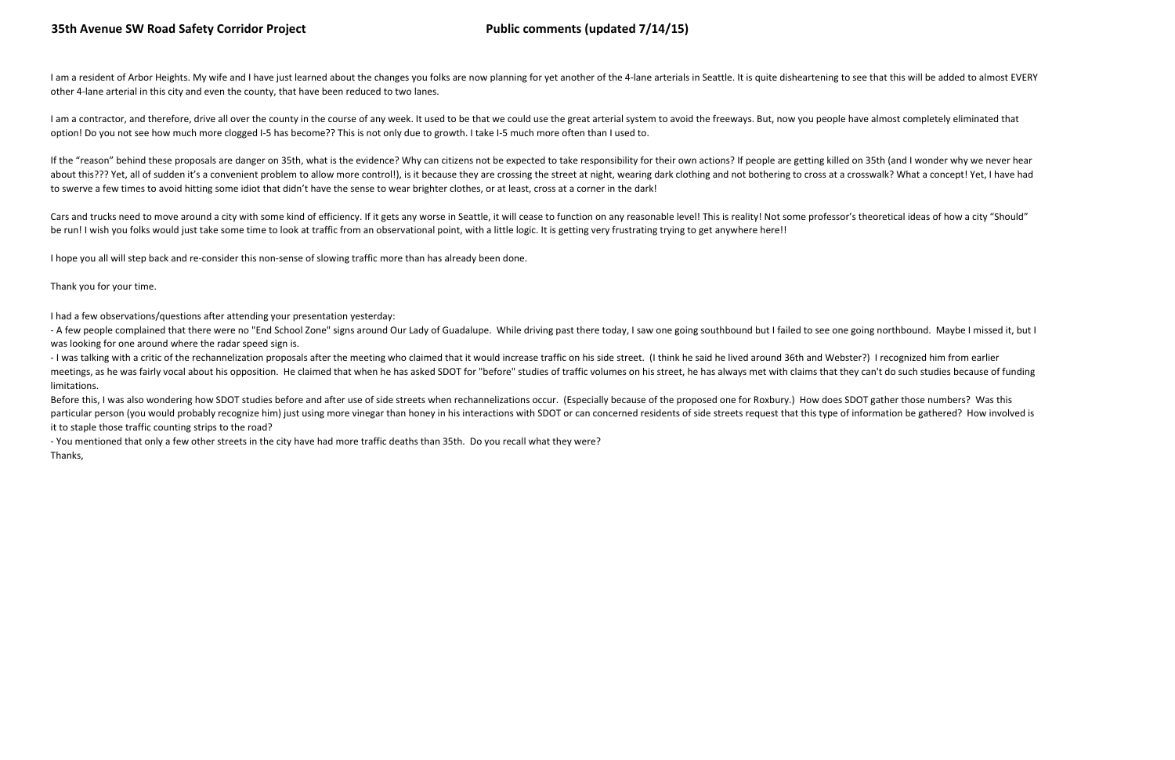I am a resident of Arbor Heights. My wife and I have just learned about the changes you folks are now planning for yet another of the 4-lane arterials in Seattle. It is quite disheartening to see that this will be added to other 4-lane arterial in this city and even the county, that have been reduced to two lanes.

I am a contractor, and therefore, drive all over the county in the course of any week. It used to be that we could use the great arterial system to avoid the freeways. But, now you people have almost completely eliminated option! Do you not see how much more clogged I-5 has become?? This is not only due to growth. I take I-5 much more often than I used to.

If the "reason" behind these proposals are danger on 35th, what is the evidence? Why can citizens not be expected to take responsibility for their own actions? If people are getting killed on 35th (and I wonder why we neve about this??? Yet, all of sudden it's a convenient problem to allow more control!), is it because they are crossing the street at night, wearing dark clothing and not bothering to cross at a crosswalk? What a concept! Yet, to swerve a few times to avoid hitting some idiot that didn't have the sense to wear brighter clothes, or at least, cross at a corner in the dark!

Cars and trucks need to move around a city with some kind of efficiency. If it gets any worse in Seattle, it will cease to function on any reasonable level! This is reality! Not some professor's theoretical ideas of how a be run! I wish you folks would just take some time to look at traffic from an observational point, with a little logic. It is getting very frustrating trying to get anywhere here!!

- A few people complained that there were no "End School Zone" signs around Our Lady of Guadalupe. While driving past there today, I saw one going southbound but I failed to see one going northbound. Maybe I missed it, but was looking for one around where the radar speed sign is.

- I was talking with a critic of the rechannelization proposals after the meeting who claimed that it would increase traffic on his side street. (I think he said he lived around 36th and Webster?) I recognized him from ear meetings, as he was fairly vocal about his opposition. He claimed that when he has asked SDOT for "before" studies of traffic volumes on his street, he has always met with claims that they can't do such studies because of limitations.

Before this, I was also wondering how SDOT studies before and after use of side streets when rechannelizations occur. (Especially because of the proposed one for Roxbury.) How does SDOT gather those numbers? Was this particular person (you would probably recognize him) just using more vinegar than honey in his interactions with SDOT or can concerned residents of side streets request that this type of information be gathered? How involv it to staple those traffic counting strips to the road?

I hope you all will step back and re-consider this non-sense of slowing traffic more than has already been done.

Thank you for your time.

I had a few observations/questions after attending your presentation yesterday:

 - You mentioned that only a few other streets in the city have had more traffic deaths than 35th. Do you recall what they were?Thanks,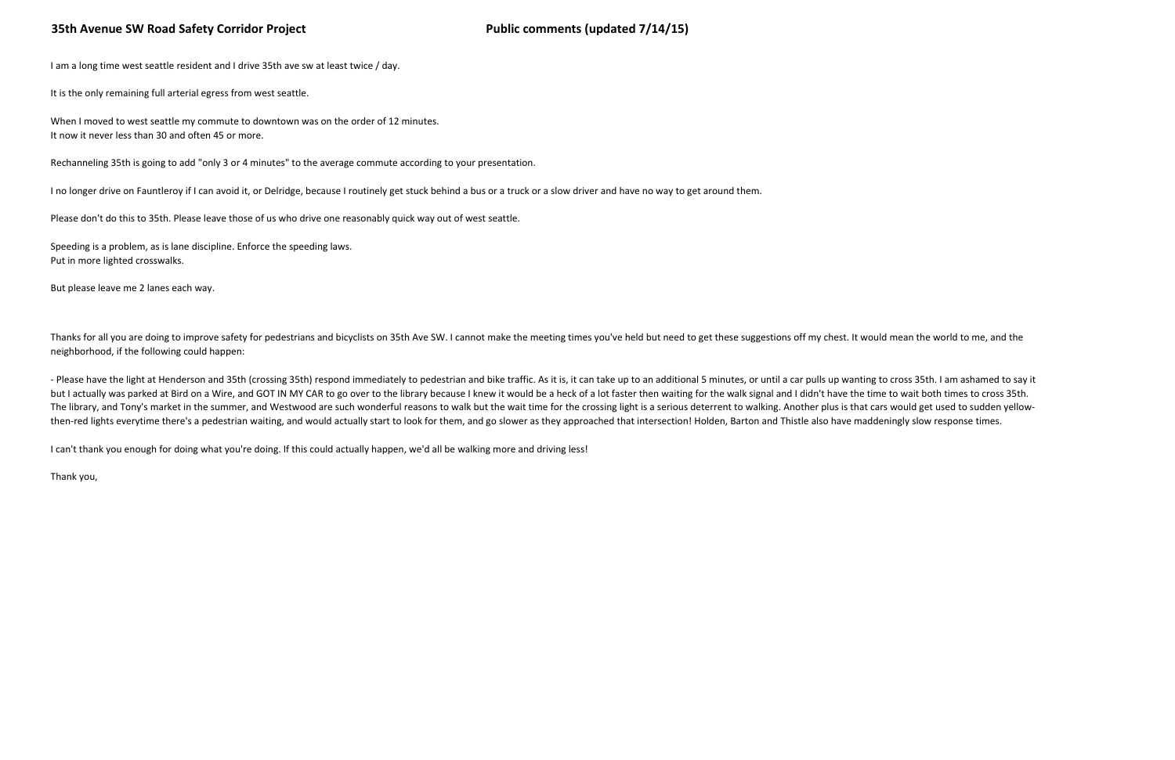I am a long time west seattle resident and I drive 35th ave sw at least twice / day.

It is the only remaining full arterial egress from west seattle.

When I moved to west seattle my commute to downtown was on the order of 12 minutes.It now it never less than 30 and often 45 or more.

Rechanneling 35th is going to add "only 3 or 4 minutes" to the average commute according to your presentation.

I no longer drive on Fauntleroy if I can avoid it, or Delridge, because I routinely get stuck behind a bus or a truck or a slow driver and have no way to get around them.

Thanks for all you are doing to improve safety for pedestrians and bicyclists on 35th Ave SW. I cannot make the meeting times you've held but need to get these suggestions off my chest. It would mean the world to me, and t neighborhood, if the following could happen:

Please don't do this to 35th. Please leave those of us who drive one reasonably quick way out of west seattle.

Speeding is a problem, as is lane discipline. Enforce the speeding laws.Put in more lighted crosswalks.

But please leave me 2 lanes each way.

- Please have the light at Henderson and 35th (crossing 35th) respond immediately to pedestrian and bike traffic. As it is, it can take up to an additional 5 minutes, or until a car pulls up wanting to cross 35th. I am ash but I actually was parked at Bird on a Wire, and GOT IN MY CAR to go over to the library because I knew it would be a heck of a lot faster then waiting for the walk signal and I didn't have the time to wait both times to c The library, and Tony's market in the summer, and Westwood are such wonderful reasons to walk but the wait time for the crossing light is a serious deterrent to walking. Another plus is that cars would get used to sudden y then-red lights everytime there's a pedestrian waiting, and would actually start to look for them, and go slower as they approached that intersection! Holden, Barton and Thistle also have maddeningly slow response times.

I can't thank you enough for doing what you're doing. If this could actually happen, we'd all be walking more and driving less!

Thank you,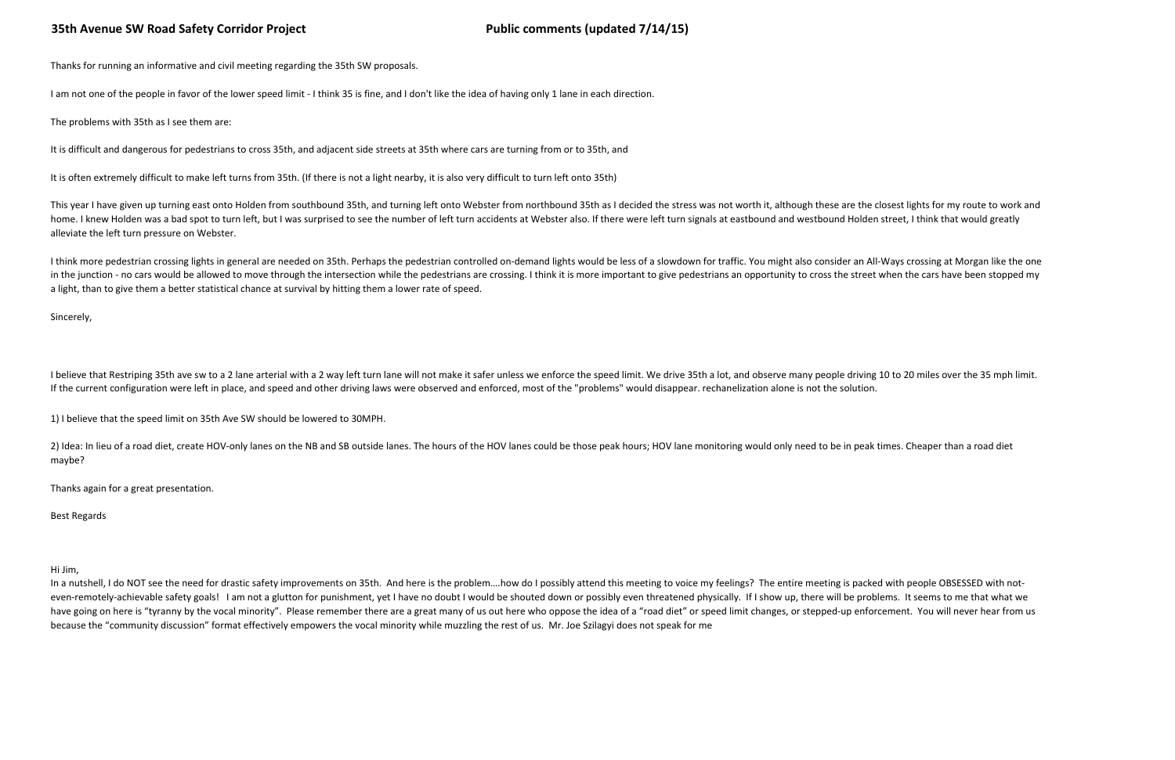1) I believe that the speed limit on 35th Ave SW should be lowered to 30MPH.

2) Idea: In lieu of a road diet, create HOV-only lanes on the NB and SB outside lanes. The hours of the HOV lanes could be those peak hours; HOV lane monitoring would only need to be in peak times. Cheaper than a road diet maybe?

Thanks again for a great presentation.

Best Regards

# 35th Avenue SW Road Safety Corridor Project **Public Comments (updated 7/14/15)**

Thanks for running an informative and civil meeting regarding the 35th SW proposals.

I am not one of the people in favor of the lower speed limit - I think 35 is fine, and I don't like the idea of having only 1 lane in each direction.

The problems with 35th as I see them are:

This year I have given up turning east onto Holden from southbound 35th, and turning left onto Webster from northbound 35th as I decided the stress was not worth it, although these are the closest lights for my route to wo home. I knew Holden was a bad spot to turn left, but I was surprised to see the number of left turn accidents at Webster also. If there were left turn signals at eastbound and westbound Holden street, I think that would gr alleviate the left turn pressure on Webster.

It is difficult and dangerous for pedestrians to cross 35th, and adjacent side streets at 35th where cars are turning from or to 35th, and

It is often extremely difficult to make left turns from 35th. (If there is not a light nearby, it is also very difficult to turn left onto 35th)

I think more pedestrian crossing lights in general are needed on 35th. Perhaps the pedestrian controlled on-demand lights would be less of a slowdown for traffic. You might also consider an All-Ways crossing at Morgan like in the junction - no cars would be allowed to move through the intersection while the pedestrians are crossing. I think it is more important to give pedestrians an opportunity to cross the street when the cars have been st a light, than to give them a better statistical chance at survival by hitting them a lower rate of speed.

I believe that Restriping 35th ave sw to a 2 lane arterial with a 2 way left turn lane will not make it safer unless we enforce the speed limit. We drive 35th a lot, and observe many people driving 10 to 20 miles over the If the current configuration were left in place, and speed and other driving laws were observed and enforced, most of the "problems" would disappear. rechanelization alone is not the solution.

In a nutshell, I do NOT see the need for drastic safety improvements on 35th. And here is the problem....how do I possibly attend this meeting to voice my feelings? The entire meeting is packed with people OBSESSED with no even-remotely-achievable safety goals! I am not a glutton for punishment, yet I have no doubt I would be shouted down or possibly even threatened physically. If I show up, there will be problems. It seems to me that what w have going on here is "tyranny by the vocal minority". Please remember there are a great many of us out here who oppose the idea of a "road diet" or speed limit changes, or stepped-up enforcement. You will never hear from because the "community discussion" format effectively empowers the vocal minority while muzzling the rest of us. Mr. Joe Szilagyi does not speak for me

Sincerely,

Hi Jim,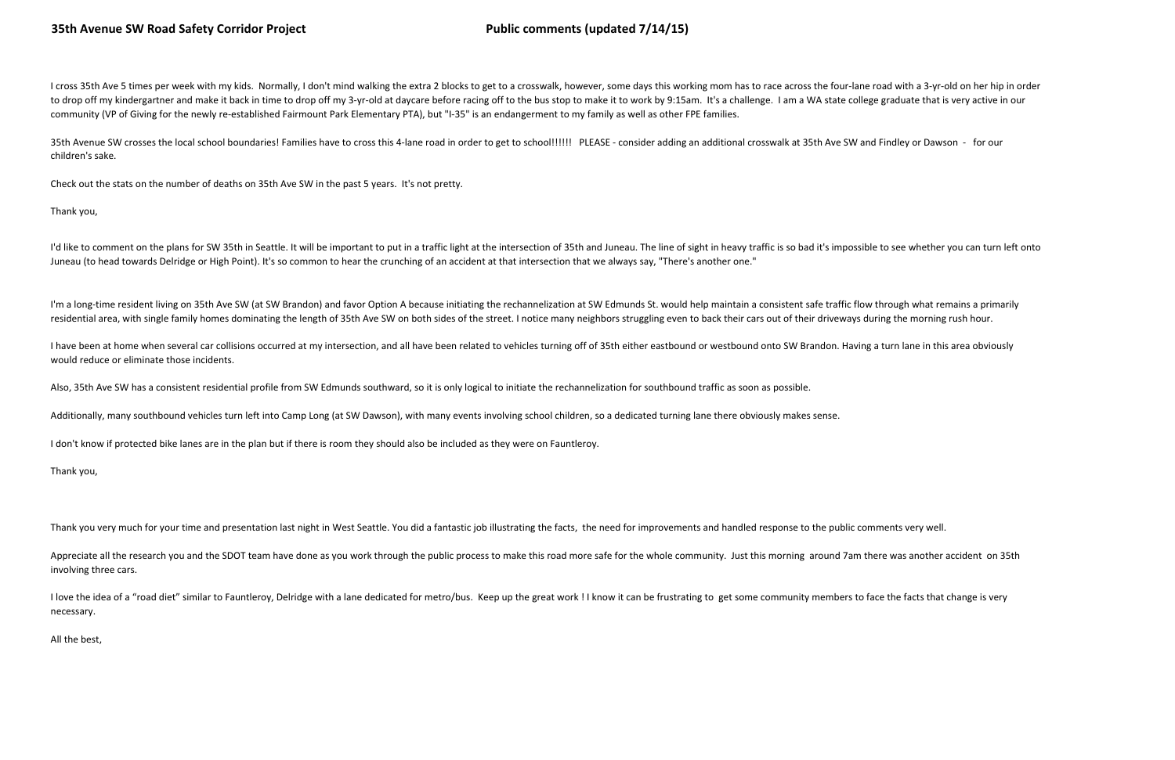I cross 35th Ave 5 times per week with my kids. Normally, I don't mind walking the extra 2 blocks to get to a crosswalk, however, some days this working mom has to race across the four-lane road with a 3-yr-old on her hip to drop off my kindergartner and make it back in time to drop off my 3-yr-old at daycare before racing off to the bus stop to make it to work by 9:15am. It's a challenge. I am a WA state college graduate that is very activ community (VP of Giving for the newly re-established Fairmount Park Elementary PTA), but "I-35" is an endangerment to my family as well as other FPE families.

I'd like to comment on the plans for SW 35th in Seattle. It will be important to put in a traffic light at the intersection of 35th and Juneau. The line of sight in heavy traffic is so bad it's impossible to see whether yo Juneau (to head towards Delridge or High Point). It's so common to hear the crunching of an accident at that intersection that we always say, "There's another one."

I'm a long-time resident living on 35th Ave SW (at SW Brandon) and favor Option A because initiating the rechannelization at SW Edmunds St. would help maintain a consistent safe traffic flow through what remains a primaril residential area, with single family homes dominating the length of 35th Ave SW on both sides of the street. I notice many neighbors struggling even to back their cars out of their driveways during the morning rush hour.

35th Avenue SW crosses the local school boundaries! Families have to cross this 4-lane road in order to get to school!!!!!! PLEASE - consider adding an additional crosswalk at 35th Ave SW and Findley or Dawson - for our children's sake.

Check out the stats on the number of deaths on 35th Ave SW in the past 5 years. It's not pretty.

Thank you,

I have been at home when several car collisions occurred at my intersection, and all have been related to vehicles turning off of 35th either eastbound or westbound onto SW Brandon. Having a turn lane in this area obviousl would reduce or eliminate those incidents.

Appreciate all the research you and the SDOT team have done as you work through the public process to make this road more safe for the whole community. Just this morning around 7am there was another accident on 35th involving three cars.

I love the idea of a "road diet" similar to Fauntleroy, Delridge with a lane dedicated for metro/bus. Keep up the great work ! I know it can be frustrating to get some community members to face the facts that change is ver necessary.

Also, 35th Ave SW has a consistent residential profile from SW Edmunds southward, so it is only logical to initiate the rechannelization for southbound traffic as soon as possible.

Additionally, many southbound vehicles turn left into Camp Long (at SW Dawson), with many events involving school children, so a dedicated turning lane there obviously makes sense.

I don't know if protected bike lanes are in the plan but if there is room they should also be included as they were on Fauntleroy.

Thank you,

Thank you very much for your time and presentation last night in West Seattle. You did a fantastic job illustrating the facts, the need for improvements and handled response to the public comments very well.

All the best,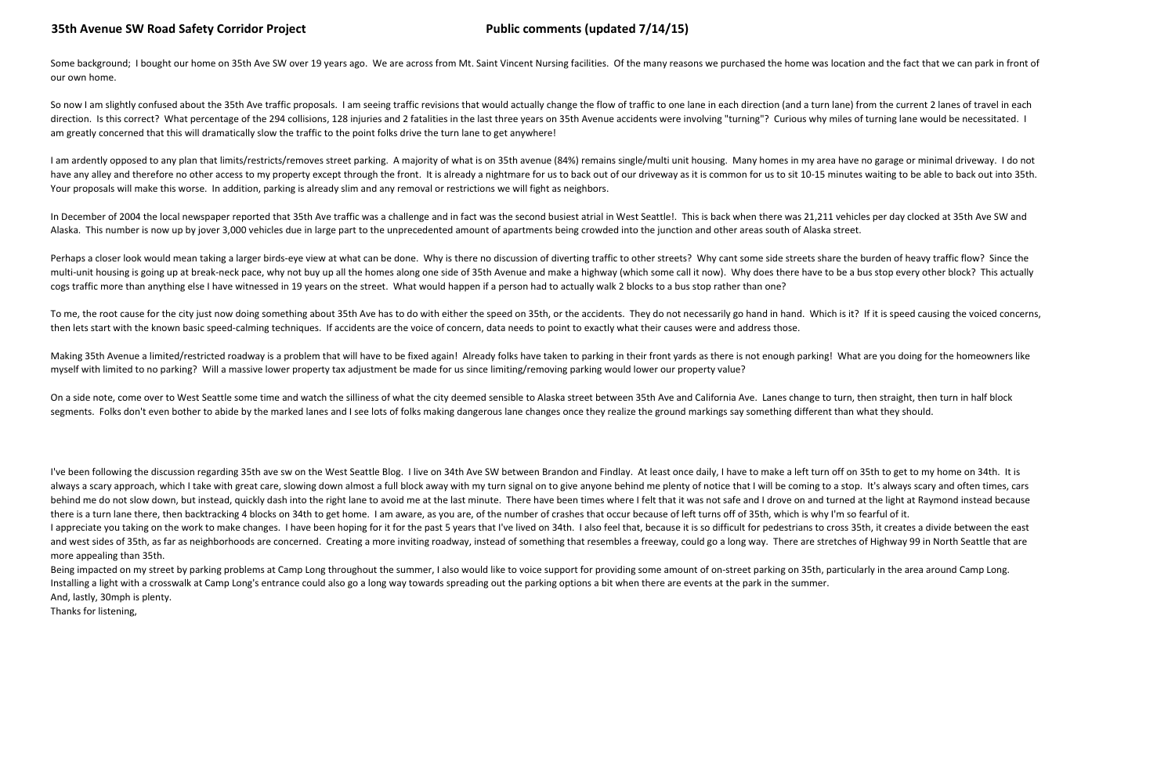I've been following the discussion regarding 35th ave sw on the West Seattle Blog. I live on 34th Ave SW between Brandon and Findlay. At least once daily, I have to make a left turn off on 35th to get to my home on 34th. I always a scary approach, which I take with great care, slowing down almost a full block away with my turn signal on to give anyone behind me plenty of notice that I will be coming to a stop. It's always scary and often tim behind me do not slow down, but instead, quickly dash into the right lane to avoid me at the last minute. There have been times where I felt that it was not safe and I drove on and turned at the light at Raymond instead be there is a turn lane there, then backtracking 4 blocks on 34th to get home. I am aware, as you are, of the number of crashes that occur because of left turns off of 35th, which is why I'm so fearful of it. I appreciate you taking on the work to make changes. I have been hoping for it for the past 5 years that I've lived on 34th. I also feel that, because it is so difficult for pedestrians to cross 35th, it creates a divide b and west sides of 35th, as far as neighborhoods are concerned. Creating a more inviting roadway, instead of something that resembles a freeway, could go a long way. There are stretches of Highway 99 in North Seattle that are more appealing than 35th.

Being impacted on my street by parking problems at Camp Long throughout the summer, I also would like to voice support for providing some amount of on-street parking on 35th, particularly in the area around Camp Long. Installing a light with a crosswalk at Camp Long's entrance could also go a long way towards spreading out the parking options a bit when there are events at the park in the summer. And, lastly, 30mph is plenty.

# 35th Avenue SW Road Safety Corridor Project **Public Comments (updated 7/14/15)**

Some background; I bought our home on 35th Ave SW over 19 years ago. We are across from Mt. Saint Vincent Nursing facilities. Of the many reasons we purchased the home was location and the fact that we can park in front of our own home.

So now I am slightly confused about the 35th Ave traffic proposals. I am seeing traffic revisions that would actually change the flow of traffic to one lane in each direction (and a turn lane) from the current 2 lanes of t direction. Is this correct? What percentage of the 294 collisions, 128 injuries and 2 fatalities in the last three years on 35th Avenue accidents were involving "turning"? Curious why miles of turning lane would be necessi am greatly concerned that this will dramatically slow the traffic to the point folks drive the turn lane to get anywhere!

I am ardently opposed to any plan that limits/restricts/removes street parking. A majority of what is on 35th avenue (84%) remains single/multi unit housing. Many homes in my area have no garage or minimal driveway. I do n have any alley and therefore no other access to my property except through the front. It is already a nightmare for us to back out of our driveway as it is common for us to sit 10-15 minutes waiting to be able to back out Your proposals will make this worse. In addition, parking is already slim and any removal or restrictions we will fight as neighbors.

In December of 2004 the local newspaper reported that 35th Ave traffic was a challenge and in fact was the second busiest atrial in West Seattle!. This is back when there was 21,211 vehicles per day clocked at 35th Ave SW Alaska. This number is now up by jover 3,000 vehicles due in large part to the unprecedented amount of apartments being crowded into the junction and other areas south of Alaska street.

Thanks for listening,

Perhaps a closer look would mean taking a larger birds-eye view at what can be done. Why is there no discussion of diverting traffic to other streets? Why cant some side streets share the burden of heavy traffic flow? Sinc multi-unit housing is going up at break-neck pace, why not buy up all the homes along one side of 35th Avenue and make a highway (which some call it now). Why does there have to be a bus stop every other block? This actual cogs traffic more than anything else I have witnessed in 19 years on the street. What would happen if a person had to actually walk 2 blocks to a bus stop rather than one?

To me, the root cause for the city just now doing something about 35th Ave has to do with either the speed on 35th, or the accidents. They do not necessarily go hand in hand. Which is it? If it is speed causing the voiced then lets start with the known basic speed-calming techniques. If accidents are the voice of concern, data needs to point to exactly what their causes were and address those.

Making 35th Avenue a limited/restricted roadway is a problem that will have to be fixed again! Already folks have taken to parking in their front yards as there is not enough parking! What are you doing for the homeowners myself with limited to no parking? Will a massive lower property tax adjustment be made for us since limiting/removing parking would lower our property value?

On a side note, come over to West Seattle some time and watch the silliness of what the city deemed sensible to Alaska street between 35th Ave and California Ave. Lanes change to turn, then straight, then turn in half bloc segments. Folks don't even bother to abide by the marked lanes and I see lots of folks making dangerous lane changes once they realize the ground markings say something different than what they should.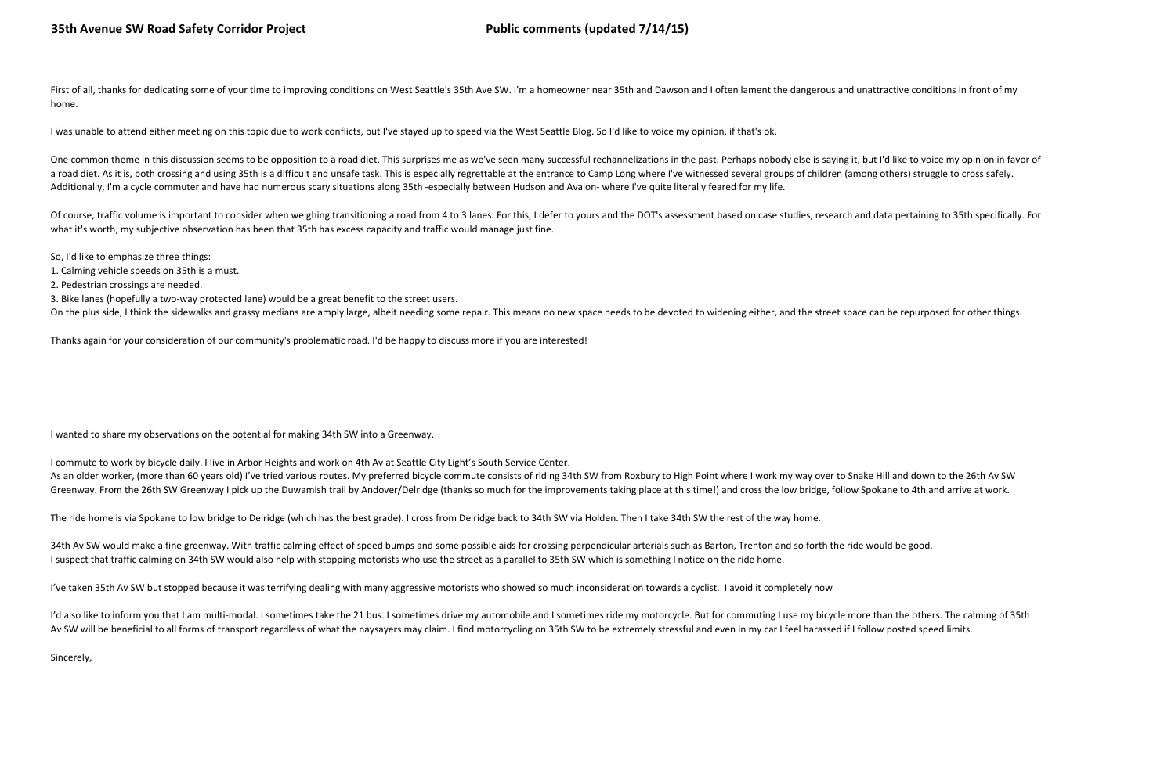First of all, thanks for dedicating some of your time to improving conditions on West Seattle's 35th Ave SW. I'm a homeowner near 35th and Dawson and I often lament the dangerous and unattractive conditions in front of my home.

I was unable to attend either meeting on this topic due to work conflicts, but I've stayed up to speed via the West Seattle Blog. So I'd like to voice my opinion, if that's ok.

One common theme in this discussion seems to be opposition to a road diet. This surprises me as we've seen many successful rechannelizations in the past. Perhaps nobody else is saying it, but I'd like to voice my opinion i a road diet. As it is, both crossing and using 35th is a difficult and unsafe task. This is especially regrettable at the entrance to Camp Long where I've witnessed several groups of children (among others) struggle to cro Additionally, I'm a cycle commuter and have had numerous scary situations along 35th -especially between Hudson and Avalon- where I've quite literally feared for my life.

Of course, traffic volume is important to consider when weighing transitioning a road from 4 to 3 lanes. For this, I defer to yours and the DOT's assessment based on case studies, research and data pertaining to 35th speci what it's worth, my subjective observation has been that 35th has excess capacity and traffic would manage just fine.

I commute to work by bicycle daily. I live in Arbor Heights and work on 4th Av at Seattle City Light's South Service Center.As an older worker, (more than 60 years old) I've tried various routes. My preferred bicycle commute consists of riding 34th SW from Roxbury to High Point where I work my way over to Snake Hill and down to the 26th Av SW Greenway. From the 26th SW Greenway I pick up the Duwamish trail by Andover/Delridge (thanks so much for the improvements taking place at this time!) and cross the low bridge, follow Spokane to 4th and arrive at work.

So, I'd like to emphasize three things:

1. Calming vehicle speeds on 35th is a must.

2. Pedestrian crossings are needed.

3. Bike lanes (hopefully a two-way protected lane) would be a great benefit to the street users.

On the plus side, I think the sidewalks and grassy medians are amply large, albeit needing some repair. This means no new space needs to be devoted to widening either, and the street space can be repurposed for other thing

Thanks again for your consideration of our community's problematic road. I'd be happy to discuss more if you are interested!

I wanted to share my observations on the potential for making 34th SW into a Greenway.

The ride home is via Spokane to low bridge to Delridge (which has the best grade). I cross from Delridge back to 34th SW via Holden. Then I take 34th SW the rest of the way home.

34th Av SW would make a fine greenway. With traffic calming effect of speed bumps and some possible aids for crossing perpendicular arterials such as Barton, Trenton and so forth the ride would be good. I suspect that traffic calming on 34th SW would also help with stopping motorists who use the street as a parallel to 35th SW which is something I notice on the ride home.

I've taken 35th Av SW but stopped because it was terrifying dealing with many aggressive motorists who showed so much inconsideration towards a cyclist. I avoid it completely now

I'd also like to inform you that I am multi-modal. I sometimes take the 21 bus. I sometimes drive my automobile and I sometimes ride my motorcycle. But for commuting I use my bicycle more than the others. The calming of 35 Av SW will be beneficial to all forms of transport regardless of what the naysayers may claim. I find motorcycling on 35th SW to be extremely stressful and even in my car I feel harassed if I follow posted speed limits.

Sincerely,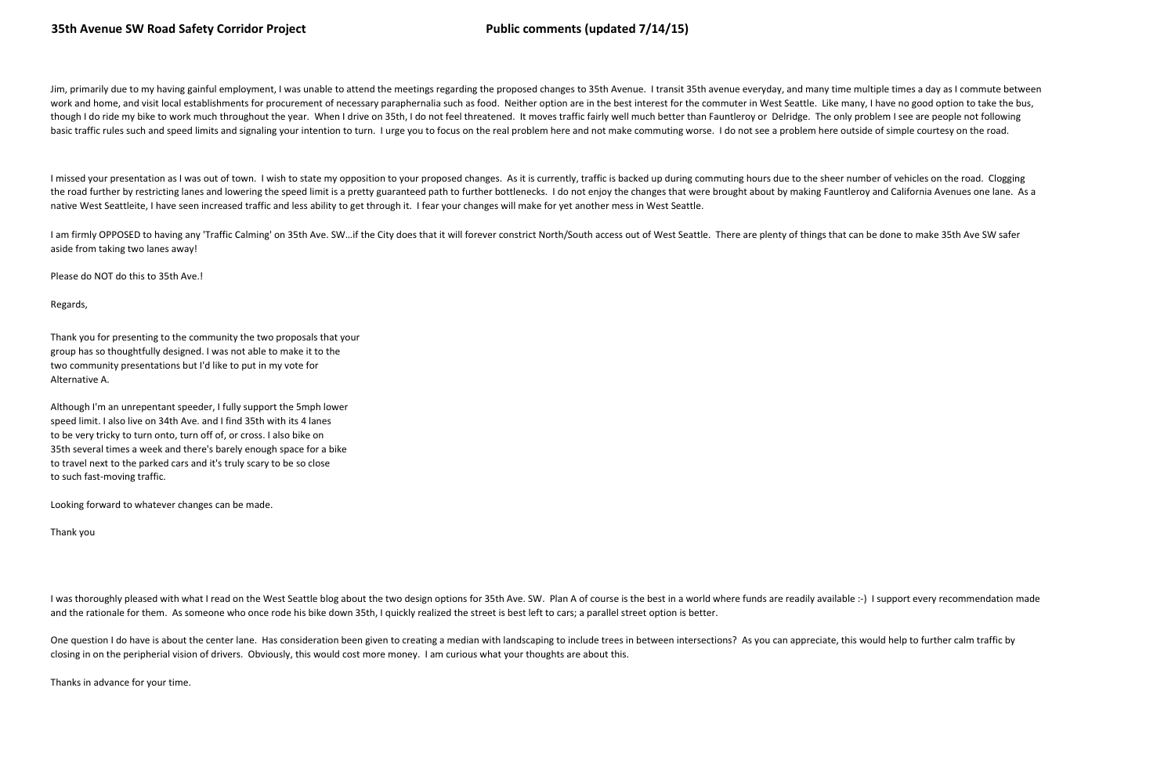Jim, primarily due to my having gainful employment, I was unable to attend the meetings regarding the proposed changes to 35th Avenue. I transit 35th avenue everyday, and many time multiple times a day as I commute between work and home, and visit local establishments for procurement of necessary paraphernalia such as food. Neither option are in the best interest for the commuter in West Seattle. Like many, I have no good option to take the though I do ride my bike to work much throughout the year. When I drive on 35th, I do not feel threatened. It moves traffic fairly well much better than Fauntleroy or Delridge. The only problem I see are people not followi basic traffic rules such and speed limits and signaling your intention to turn. I urge you to focus on the real problem here and not make commuting worse. I do not see a problem here outside of simple courtesy on the road.

I missed your presentation as I was out of town. I wish to state my opposition to your proposed changes. As it is currently, traffic is backed up during commuting hours due to the sheer number of vehicles on the road. Clog the road further by restricting lanes and lowering the speed limit is a pretty guaranteed path to further bottlenecks. I do not enjoy the changes that were brought about by making Fauntleroy and California Avenues one lane native West Seattleite, I have seen increased traffic and less ability to get through it. I fear your changes will make for yet another mess in West Seattle.

I am firmly OPPOSED to having any 'Traffic Calming' on 35th Ave. SW...if the City does that it will forever constrict North/South access out of West Seattle. There are plenty of things that can be done to make 35th Ave SW aside from taking two lanes away!

One question I do have is about the center lane. Has consideration been given to creating a median with landscaping to include trees in between intersections? As you can appreciate, this would help to further calm traffic closing in on the peripherial vision of drivers. Obviously, this would cost more money. I am curious what your thoughts are about this.

Please do NOT do this to 35th Ave.!

Regards,

Thank you for presenting to the community the two proposals that your group has so thoughtfully designed. I was not able to make it to the two community presentations but I'd like to put in my vote for Alternative A.

Although I'm an unrepentant speeder, I fully support the 5mph lower speed limit. I also live on 34th Ave. and I find 35th with its 4 lanes to be very tricky to turn onto, turn off of, or cross. I also bike on 35th several times a week and there's barely enough space for a bike to travel next to the parked cars and it's truly scary to be so close to such fast-moving traffic.

Looking forward to whatever changes can be made.

Thank you

I was thoroughly pleased with what I read on the West Seattle blog about the two design options for 35th Ave. SW. Plan A of course is the best in a world where funds are readily available :-) I support every recommendation and the rationale for them. As someone who once rode his bike down 35th, I quickly realized the street is best left to cars; a parallel street option is better.

Thanks in advance for your time.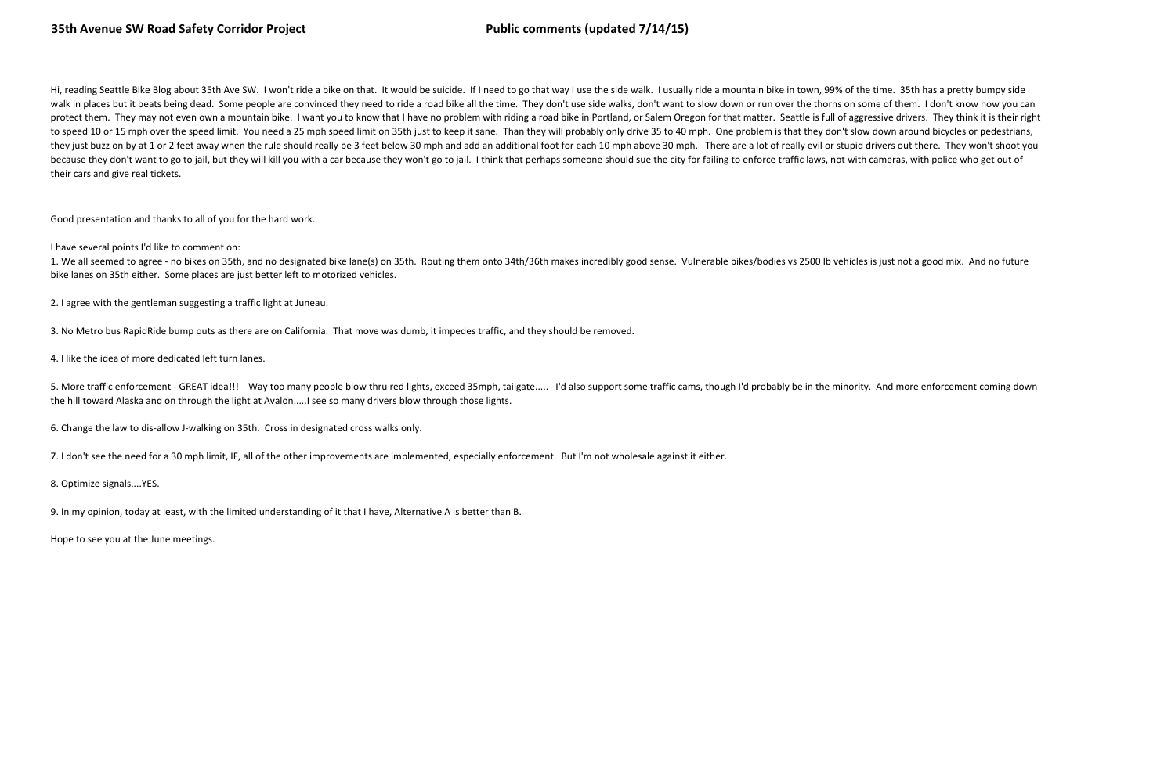Hi, reading Seattle Bike Blog about 35th Ave SW. I won't ride a bike on that. It would be suicide. If I need to go that way I use the side walk. I usually ride a mountain bike in town, 99% of the time. 35th has a pretty bu walk in places but it beats being dead. Some people are convinced they need to ride a road bike all the time. They don't use side walks, don't want to slow down or run over the thorns on some of them. I don't know how you protect them. They may not even own a mountain bike. I want you to know that I have no problem with riding a road bike in Portland, or Salem Oregon for that matter. Seattle is full of aggressive drivers. They think it is t to speed 10 or 15 mph over the speed limit. You need a 25 mph speed limit on 35th just to keep it sane. Than they will probably only drive 35 to 40 mph. One problem is that they don't slow down around bicycles or pedestria they just buzz on by at 1 or 2 feet away when the rule should really be 3 feet below 30 mph and add an additional foot for each 10 mph above 30 mph. There are a lot of really evil or stupid drivers out there. They won't sh because they don't want to go to jail, but they will kill you with a car because they won't go to jail. I think that perhaps someone should sue the city for failing to enforce traffic laws, not with cameras, with police wh their cars and give real tickets.

Good presentation and thanks to all of you for the hard work.

I have several points I'd like to comment on:

1. We all seemed to agree - no bikes on 35th, and no designated bike lane(s) on 35th. Routing them onto 34th/36th makes incredibly good sense. Vulnerable bikes/bodies vs 2500 lb vehicles is just not a good mix. And no future bike lanes on 35th either. Some places are just better left to motorized vehicles.

2. I agree with the gentleman suggesting a traffic light at Juneau.

3. No Metro bus RapidRide bump outs as there are on California. That move was dumb, it impedes traffic, and they should be removed.

4. I like the idea of more dedicated left turn lanes.

5. More traffic enforcement - GREAT idea!!! Way too many people blow thru red lights, exceed 35mph, tailgate..... I'd also support some traffic cams, though I'd probably be in the minority. And more enforcement coming down the hill toward Alaska and on through the light at Avalon.....I see so many drivers blow through those lights.

6. Change the law to dis-allow J-walking on 35th. Cross in designated cross walks only.

7. I don't see the need for a 30 mph limit, IF, all of the other improvements are implemented, especially enforcement. But I'm not wholesale against it either.

8. Optimize signals....YES.

9. In my opinion, today at least, with the limited understanding of it that I have, Alternative A is better than B.

Hope to see you at the June meetings.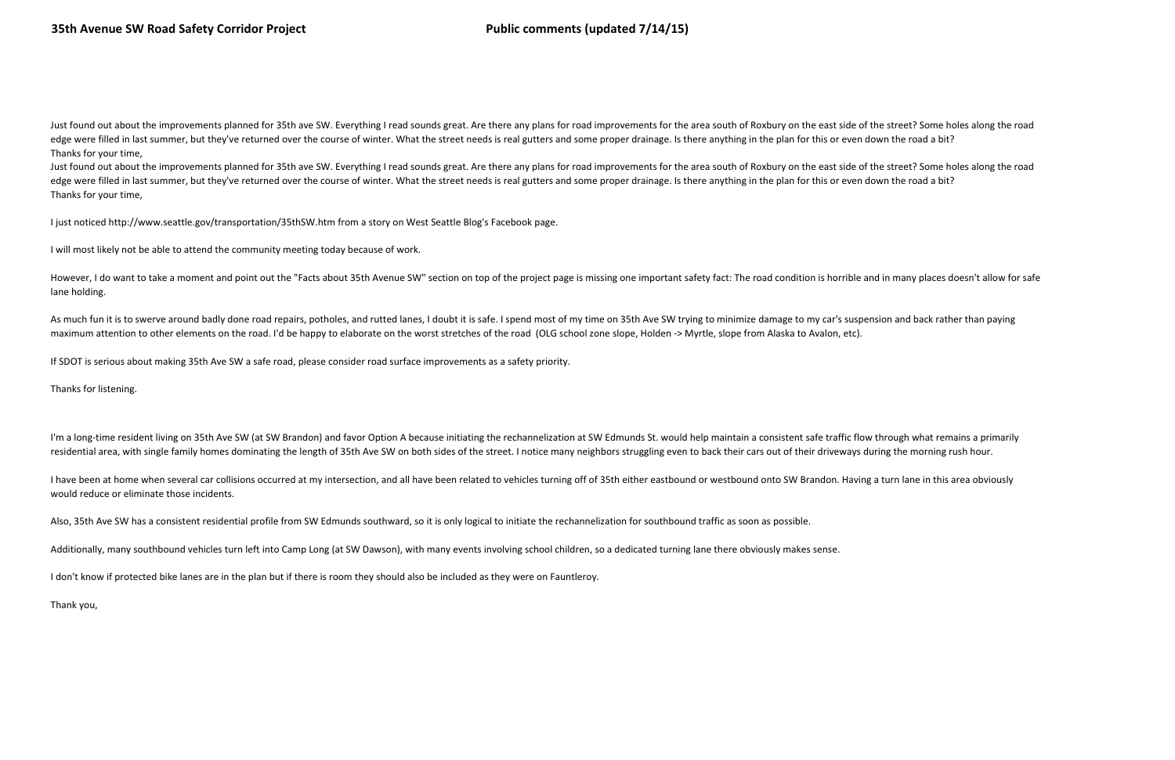Just found out about the improvements planned for 35th ave SW. Everything I read sounds great. Are there any plans for road improvements for the area south of Roxbury on the east side of the street? Some holes along the ro edge were filled in last summer, but they've returned over the course of winter. What the street needs is real gutters and some proper drainage. Is there anything in the plan for this or even down the road a bit? Thanks for your time,

Just found out about the improvements planned for 35th ave SW. Everything I read sounds great. Are there any plans for road improvements for the area south of Roxbury on the east side of the street? Some holes along the ro edge were filled in last summer, but they've returned over the course of winter. What the street needs is real gutters and some proper drainage. Is there anything in the plan for this or even down the road a bit? Thanks for your time,

However, I do want to take a moment and point out the "Facts about 35th Avenue SW" section on top of the project page is missing one important safety fact: The road condition is horrible and in many places doesn't allow fo lane holding.

As much fun it is to swerve around badly done road repairs, potholes, and rutted lanes, I doubt it is safe. I spend most of my time on 35th Ave SW trying to minimize damage to my car's suspension and back rather than payin maximum attention to other elements on the road. I'd be happy to elaborate on the worst stretches of the road (OLG school zone slope, Holden -> Myrtle, slope from Alaska to Avalon, etc).

I just noticed http://www.seattle.gov/transportation/35thSW.htm from a story on West Seattle Blog's Facebook page.

I will most likely not be able to attend the community meeting today because of work.

I have been at home when several car collisions occurred at my intersection, and all have been related to vehicles turning off of 35th either eastbound or westbound onto SW Brandon. Having a turn lane in this area obviousl would reduce or eliminate those incidents.

If SDOT is serious about making 35th Ave SW a safe road, please consider road surface improvements as a safety priority.

Thanks for listening.

I'm a long-time resident living on 35th Ave SW (at SW Brandon) and favor Option A because initiating the rechannelization at SW Edmunds St. would help maintain a consistent safe traffic flow through what remains a primaril residential area, with single family homes dominating the length of 35th Ave SW on both sides of the street. I notice many neighbors struggling even to back their cars out of their driveways during the morning rush hour.

Also, 35th Ave SW has a consistent residential profile from SW Edmunds southward, so it is only logical to initiate the rechannelization for southbound traffic as soon as possible.

Additionally, many southbound vehicles turn left into Camp Long (at SW Dawson), with many events involving school children, so a dedicated turning lane there obviously makes sense.

I don't know if protected bike lanes are in the plan but if there is room they should also be included as they were on Fauntleroy.

Thank you,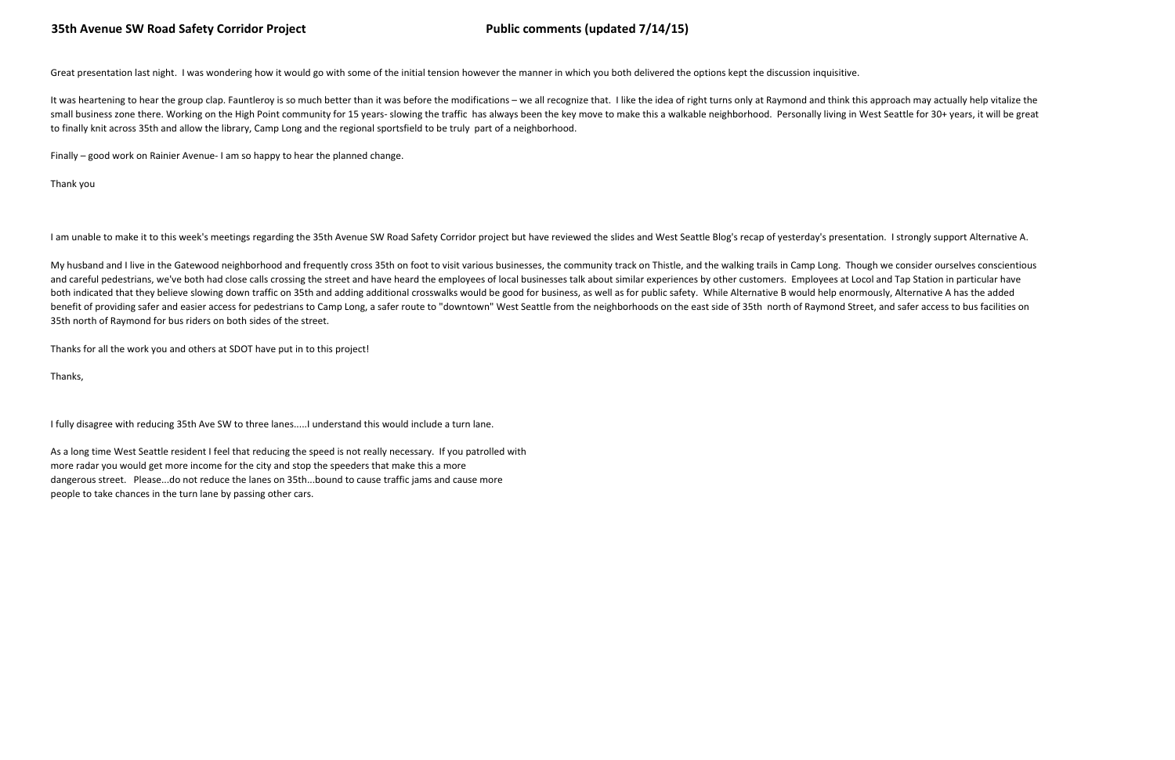Great presentation last night. I was wondering how it would go with some of the initial tension however the manner in which you both delivered the options kept the discussion inquisitive.

It was heartening to hear the group clap. Fauntleroy is so much better than it was before the modifications - we all recognize that. I like the idea of right turns only at Raymond and think this approach may actually help small business zone there. Working on the High Point community for 15 years- slowing the traffic has always been the key move to make this a walkable neighborhood. Personally living in West Seattle for 30+ years, it will b to finally knit across 35th and allow the library, Camp Long and the regional sportsfield to be truly part of a neighborhood.

Finally – good work on Rainier Avenue- I am so happy to hear the planned change.

Thank you

I am unable to make it to this week's meetings regarding the 35th Avenue SW Road Safety Corridor project but have reviewed the slides and West Seattle Blog's recap of yesterday's presentation. I strongly support Alternativ

My husband and I live in the Gatewood neighborhood and frequently cross 35th on foot to visit various businesses, the community track on Thistle, and the walking trails in Camp Long. Though we consider ourselves conscienti and careful pedestrians, we've both had close calls crossing the street and have heard the employees of local businesses talk about similar experiences by other customers. Employees at Locol and Tap Station in particular h both indicated that they believe slowing down traffic on 35th and adding additional crosswalks would be good for business, as well as for public safety. While Alternative B would help enormously, Alternative A has the adde benefit of providing safer and easier access for pedestrians to Camp Long, a safer route to "downtown" West Seattle from the neighborhoods on the east side of 35th north of Raymond Street, and safer access to bus facilitie 35th north of Raymond for bus riders on both sides of the street.

Thanks for all the work you and others at SDOT have put in to this project!

Thanks,

I fully disagree with reducing 35th Ave SW to three lanes.....I understand this would include a turn lane.

As a long time West Seattle resident I feel that reducing the speed is not really necessary. If you patrolled withmore radar you would get more income for the city and stop the speeders that make this a more dangerous street. Please...do not reduce the lanes on 35th...bound to cause traffic jams and cause morepeople to take chances in the turn lane by passing other cars.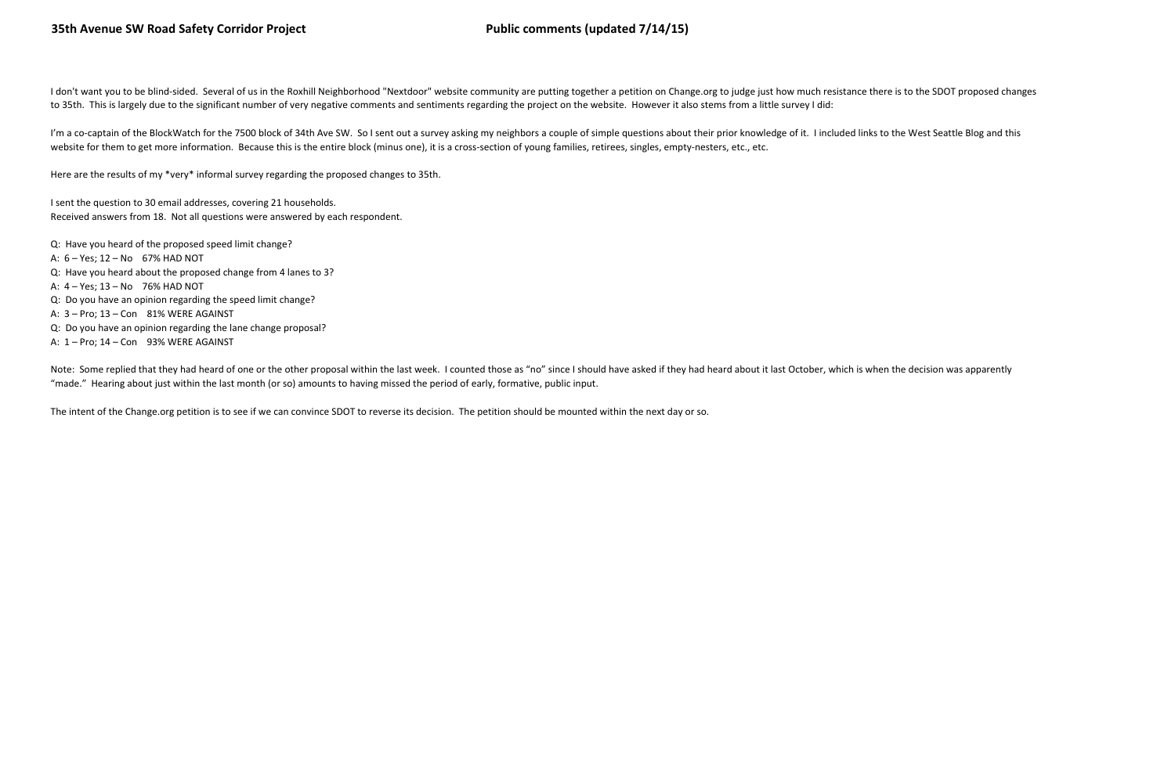I don't want you to be blind-sided. Several of us in the Roxhill Neighborhood "Nextdoor" website community are putting together a petition on Change.org to judge just how much resistance there is to the SDOT proposed chang to 35th. This is largely due to the significant number of very negative comments and sentiments regarding the project on the website. However it also stems from a little survey I did:

I'm a co-captain of the BlockWatch for the 7500 block of 34th Ave SW. So I sent out a survey asking my neighbors a couple of simple questions about their prior knowledge of it. I included links to the West Seattle Blog and website for them to get more information. Because this is the entire block (minus one), it is a cross-section of young families, retirees, singles, empty-nesters, etc., etc.

Note: Some replied that they had heard of one or the other proposal within the last week. I counted those as "no" since I should have asked if they had heard about it last October, which is when the decision was apparently "made." Hearing about just within the last month (or so) amounts to having missed the period of early, formative, public input.

Here are the results of my \*very\* informal survey regarding the proposed changes to 35th.

I sent the question to 30 email addresses, covering 21 households.Received answers from 18. Not all questions were answered by each respondent.

Q: Have you heard of the proposed speed limit change?A: 6 – Yes; 12 – No 67% HAD NOT Q: Have you heard about the proposed change from 4 lanes to 3?A: 4 – Yes; 13 – No 76% HAD NOT Q: Do you have an opinion regarding the speed limit change?A: 3 – Pro; 13 – Con 81% WERE AGAINST Q: Do you have an opinion regarding the lane change proposal?A: 1 – Pro; 14 – Con 93% WERE AGAINST

The intent of the Change.org petition is to see if we can convince SDOT to reverse its decision. The petition should be mounted within the next day or so.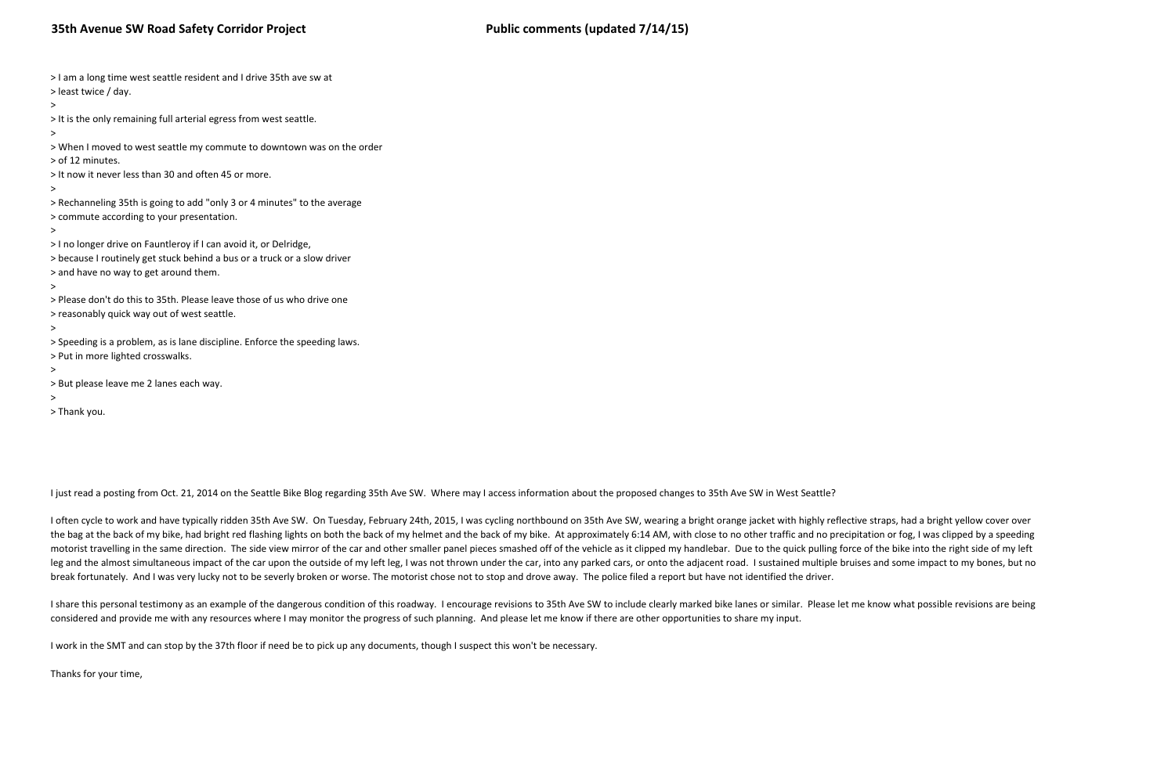| > I am a long time west seattle resident and I drive 35th ave sw at<br>> least twice / day.                                                                                                 |
|---------------------------------------------------------------------------------------------------------------------------------------------------------------------------------------------|
| ><br>> It is the only remaining full arterial egress from west seattle.<br>>                                                                                                                |
| > When I moved to west seattle my commute to downtown was on the order<br>> of 12 minutes.                                                                                                  |
| > It now it never less than 30 and often 45 or more.<br>$\, > \,$                                                                                                                           |
| > Rechanneling 35th is going to add "only 3 or 4 minutes" to the average<br>> commute according to your presentation.<br>>                                                                  |
| > I no longer drive on Fauntleroy if I can avoid it, or Delridge,<br>> because I routinely get stuck behind a bus or a truck or a slow driver<br>> and have no way to get around them.<br>> |
| > Please don't do this to 35th. Please leave those of us who drive one<br>> reasonably quick way out of west seattle.                                                                       |
| ><br>> Speeding is a problem, as is lane discipline. Enforce the speeding laws.<br>> Put in more lighted crosswalks.<br>$\geq$                                                              |
| > But please leave me 2 lanes each way.<br>>                                                                                                                                                |

> Thank you.

I just read a posting from Oct. 21, 2014 on the Seattle Bike Blog regarding 35th Ave SW. Where may I access information about the proposed changes to 35th Ave SW in West Seattle?

I often cycle to work and have typically ridden 35th Ave SW. On Tuesday, February 24th, 2015, I was cycling northbound on 35th Ave SW, wearing a bright orange jacket with highly reflective straps, had a bright yellow cover the bag at the back of my bike, had bright red flashing lights on both the back of my helmet and the back of my bike. At approximately 6:14 AM, with close to no other traffic and no precipitation or fog, I was clipped by a motorist travelling in the same direction. The side view mirror of the car and other smaller panel pieces smashed off of the vehicle as it clipped my handlebar. Due to the quick pulling force of the bike into the right sid leg and the almost simultaneous impact of the car upon the outside of my left leg, I was not thrown under the car, into any parked cars, or onto the adjacent road. I sustained multiple bruises and some impact to my bones, break fortunately. And I was very lucky not to be severly broken or worse. The motorist chose not to stop and drove away. The police filed a report but have not identified the driver.

I share this personal testimony as an example of the dangerous condition of this roadway. I encourage revisions to 35th Ave SW to include clearly marked bike lanes or similar. Please let me know what possible revisions are considered and provide me with any resources where I may monitor the progress of such planning. And please let me know if there are other opportunities to share my input.

I work in the SMT and can stop by the 37th floor if need be to pick up any documents, though I suspect this won't be necessary.

Thanks for your time,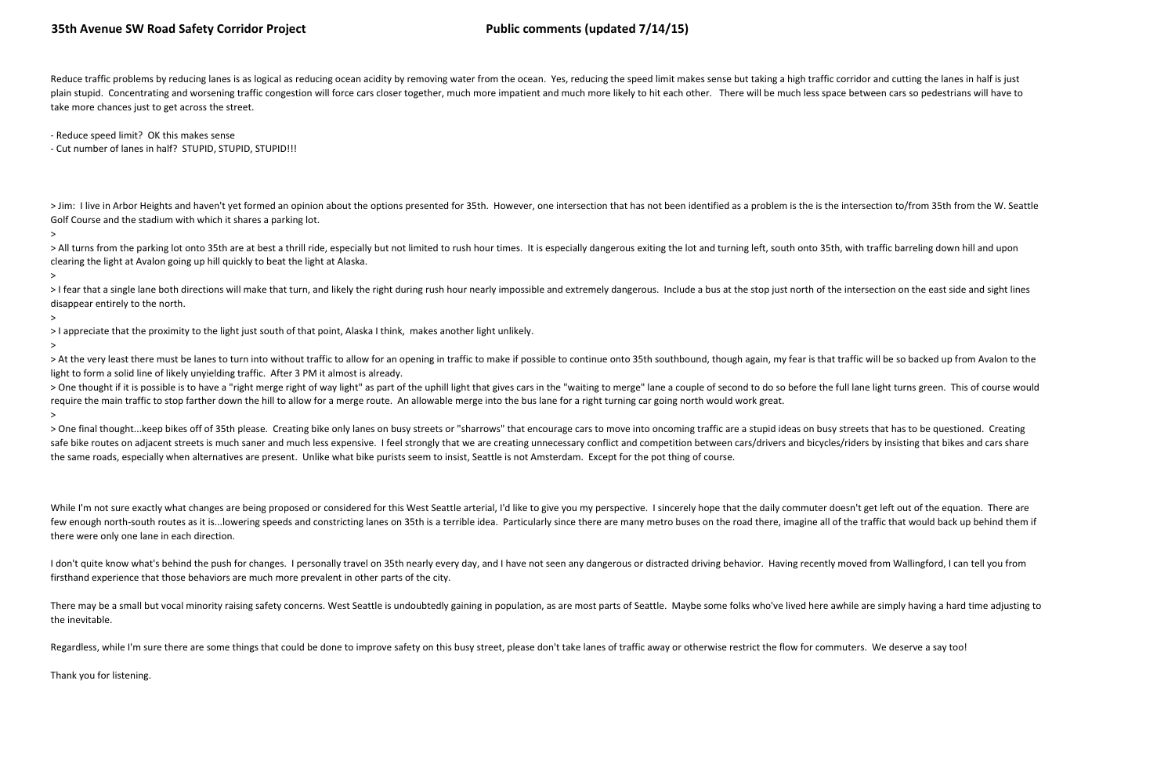Reduce traffic problems by reducing lanes is as logical as reducing ocean acidity by removing water from the ocean. Yes, reducing the speed limit makes sense but taking a high traffic corridor and cutting the lanes in half plain stupid. Concentrating and worsening traffic congestion will force cars closer together, much more impatient and much more likely to hit each other. There will be much less space between cars so pedestrians will have take more chances just to get across the street.

> Jim: I live in Arbor Heights and haven't yet formed an opinion about the options presented for 35th. However, one intersection that has not been identified as a problem is the is the intersection to/from 35th from the W. Golf Course and the stadium with which it shares a parking lot.

- Reduce speed limit? OK this makes sense

> All turns from the parking lot onto 35th are at best a thrill ride, especially but not limited to rush hour times. It is especially dangerous exiting the lot and turning left, south onto 35th, with traffic barreling down clearing the light at Avalon going up hill quickly to beat the light at Alaska.

- Cut number of lanes in half? STUPID, STUPID, STUPID!!!

>I fear that a single lane both directions will make that turn, and likely the right during rush hour nearly impossible and extremely dangerous. Include a bus at the stop just north of the intersection on the east side and disappear entirely to the north.

>

> At the very least there must be lanes to turn into without traffic to allow for an opening in traffic to make if possible to continue onto 35th southbound, though again, my fear is that traffic will be so backed up from light to form a solid line of likely unyielding traffic. After 3 PM it almost is already.

> One thought if it is possible is to have a "right merge right of way light" as part of the uphill light that gives cars in the "waiting to merge" lane a couple of second to do so before the full lane light turns green. T require the main traffic to stop farther down the hill to allow for a merge route. An allowable merge into the bus lane for a right turning car going north would work great.

>

> One final thought...keep bikes off of 35th please. Creating bike only lanes on busy streets or "sharrows" that encourage cars to move into oncoming traffic are a stupid ideas on busy streets that has to be questioned. Cr safe bike routes on adjacent streets is much saner and much less expensive. I feel strongly that we are creating unnecessary conflict and competition between cars/drivers and bicycles/riders by insisting that bikes and car the same roads, especially when alternatives are present. Unlike what bike purists seem to insist, Seattle is not Amsterdam. Except for the pot thing of course.

>

> I appreciate that the proximity to the light just south of that point, Alaska I think, makes another light unlikely.

>

While I'm not sure exactly what changes are being proposed or considered for this West Seattle arterial, I'd like to give you my perspective. I sincerely hope that the daily commuter doesn't get left out of the equation. T few enough north-south routes as it is... lowering speeds and constricting lanes on 35th is a terrible idea. Particularly since there are many metro buses on the road there, imagine all of the traffic that would back up be there were only one lane in each direction.

I don't quite know what's behind the push for changes. I personally travel on 35th nearly every day, and I have not seen any dangerous or distracted driving behavior. Having recently moved from Wallingford, I can tell you firsthand experience that those behaviors are much more prevalent in other parts of the city.

There may be a small but vocal minority raising safety concerns. West Seattle is undoubtedly gaining in population, as are most parts of Seattle. Maybe some folks who've lived here awhile are simply having a hard time adju the inevitable.

Regardless, while I'm sure there are some things that could be done to improve safety on this busy street, please don't take lanes of traffic away or otherwise restrict the flow for commuters. We deserve a say too!

>

Thank you for listening.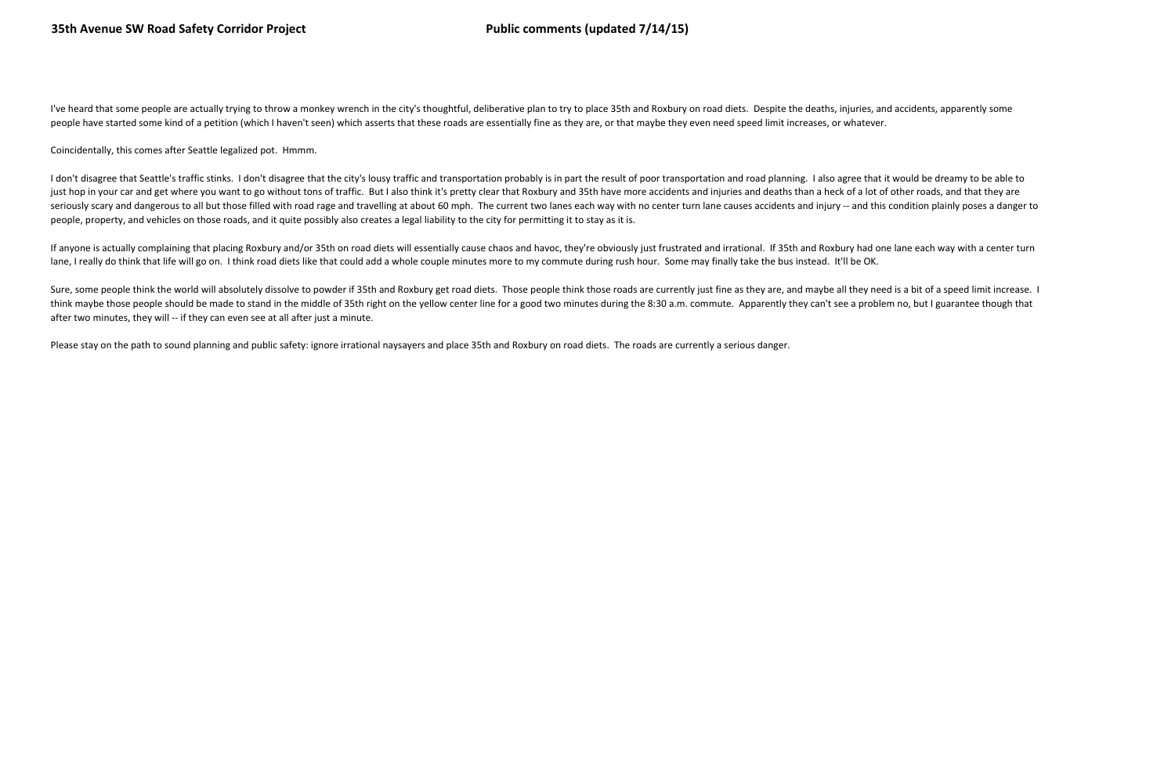I've heard that some people are actually trying to throw a monkey wrench in the city's thoughtful, deliberative plan to try to place 35th and Roxbury on road diets. Despite the deaths, injuries, and accidents, apparently s people have started some kind of a petition (which I haven't seen) which asserts that these roads are essentially fine as they are, or that maybe they even need speed limit increases, or whatever.

Coincidentally, this comes after Seattle legalized pot. Hmmm.

I don't disagree that Seattle's traffic stinks. I don't disagree that the city's lousy traffic and transportation probably is in part the result of poor transportation and road planning. I also agree that it would be dream just hop in your car and get where you want to go without tons of traffic. But I also think it's pretty clear that Roxbury and 35th have more accidents and injuries and deaths than a heck of a lot of other roads, and that seriously scary and dangerous to all but those filled with road rage and travelling at about 60 mph. The current two lanes each way with no center turn lane causes accidents and injury -- and this condition plainly poses a people, property, and vehicles on those roads, and it quite possibly also creates a legal liability to the city for permitting it to stay as it is.

If anyone is actually complaining that placing Roxbury and/or 35th on road diets will essentially cause chaos and havoc, they're obviously just frustrated and irrational. If 35th and Roxbury had one lane each way with a ce lane, I really do think that life will go on. I think road diets like that could add a whole couple minutes more to my commute during rush hour. Some may finally take the bus instead. It'll be OK.

Sure, some people think the world will absolutely dissolve to powder if 35th and Roxbury get road diets. Those people think those roads are currently just fine as they are, and maybe all they need is a bit of a speed limit think maybe those people should be made to stand in the middle of 35th right on the yellow center line for a good two minutes during the 8:30 a.m. commute. Apparently they can't see a problem no, but I guarantee though tha after two minutes, they will -- if they can even see at all after just a minute.

Please stay on the path to sound planning and public safety: ignore irrational naysayers and place 35th and Roxbury on road diets. The roads are currently a serious danger.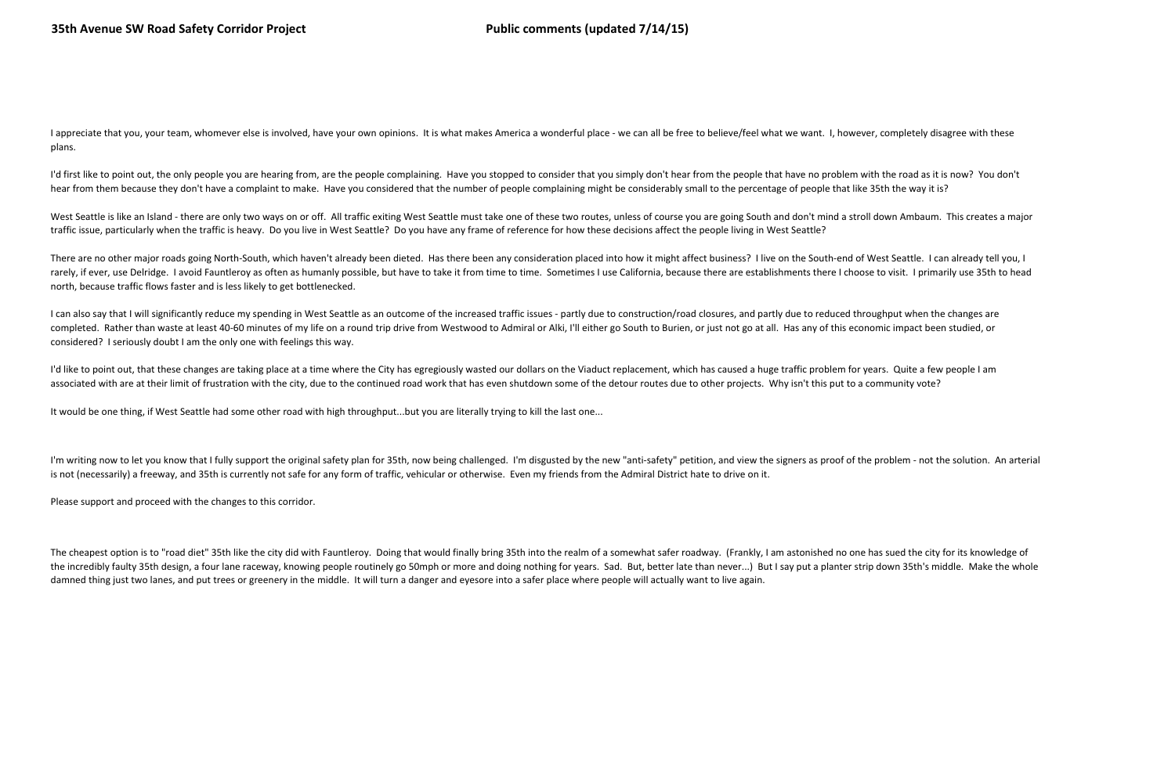The cheapest option is to "road diet" 35th like the city did with Fauntleroy. Doing that would finally bring 35th into the realm of a somewhat safer roadway. (Frankly, I am astonished no one has sued the city for its knowl the incredibly faulty 35th design, a four lane raceway, knowing people routinely go 50mph or more and doing nothing for years. Sad. But, better late than never...) But I say put a planter strip down 35th's middle. Make the damned thing just two lanes, and put trees or greenery in the middle. It will turn a danger and eyesore into a safer place where people will actually want to live again.

I appreciate that you, your team, whomever else is involved, have your own opinions. It is what makes America a wonderful place - we can all be free to believe/feel what we want. I, however, completely disagree with these plans.

I'd first like to point out, the only people you are hearing from, are the people complaining. Have you stopped to consider that you simply don't hear from the people that have no problem with the road as it is now? You do hear from them because they don't have a complaint to make. Have you considered that the number of people complaining might be considerably small to the percentage of people that like 35th the way it is?

West Seattle is like an Island - there are only two ways on or off. All traffic exiting West Seattle must take one of these two routes, unless of course you are going South and don't mind a stroll down Ambaum. This creates traffic issue, particularly when the traffic is heavy. Do you live in West Seattle? Do you have any frame of reference for how these decisions affect the people living in West Seattle?

There are no other major roads going North-South, which haven't already been dieted. Has there been any consideration placed into how it might affect business? I live on the South-end of West Seattle. I can already tell yo rarely, if ever, use Delridge. I avoid Fauntleroy as often as humanly possible, but have to take it from time to time. Sometimes I use California, because there are establishments there I choose to visit. I primarily use 3 north, because traffic flows faster and is less likely to get bottlenecked.

I can also say that I will significantly reduce my spending in West Seattle as an outcome of the increased traffic issues - partly due to construction/road closures, and partly due to reduced throughput when the changes ar completed. Rather than waste at least 40-60 minutes of my life on a round trip drive from Westwood to Admiral or Alki, I'll either go South to Burien, or just not go at all. Has any of this economic impact been studied, or considered? I seriously doubt I am the only one with feelings this way.

I'd like to point out, that these changes are taking place at a time where the City has egregiously wasted our dollars on the Viaduct replacement, which has caused a huge traffic problem for years. Quite a few people I am associated with are at their limit of frustration with the city, due to the continued road work that has even shutdown some of the detour routes due to other projects. Why isn't this put to a community vote?

It would be one thing, if West Seattle had some other road with high throughput...but you are literally trying to kill the last one...

I'm writing now to let you know that I fully support the original safety plan for 35th, now being challenged. I'm disgusted by the new "anti-safety" petition, and view the signers as proof of the problem - not the solution is not (necessarily) a freeway, and 35th is currently not safe for any form of traffic, vehicular or otherwise. Even my friends from the Admiral District hate to drive on it.

Please support and proceed with the changes to this corridor.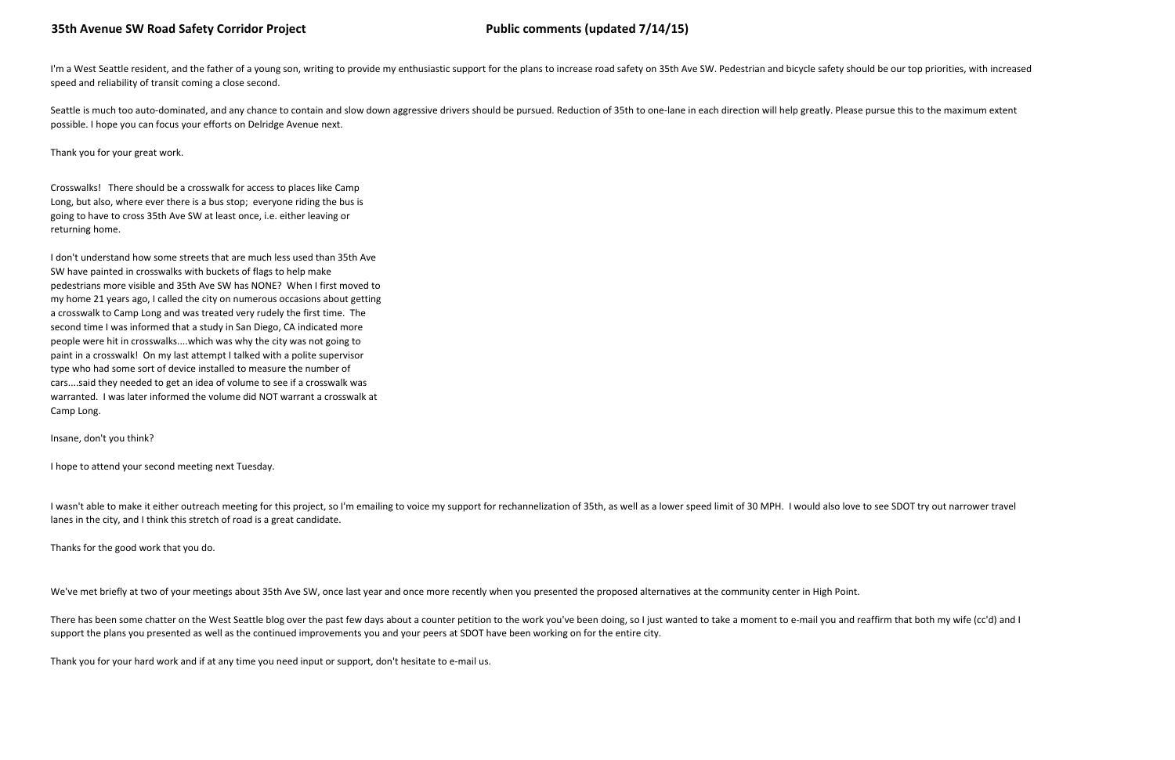I'm a West Seattle resident, and the father of a young son, writing to provide my enthusiastic support for the plans to increase road safety on 35th Ave SW. Pedestrian and bicycle safety should be our top priorities, with speed and reliability of transit coming a close second.

Seattle is much too auto-dominated, and any chance to contain and slow down aggressive drivers should be pursued. Reduction of 35th to one-lane in each direction will help greatly. Please pursue this to the maximum extent possible. I hope you can focus your efforts on Delridge Avenue next.

Thank you for your great work.

Crosswalks! There should be a crosswalk for access to places like Camp Long, but also, where ever there is a bus stop; everyone riding the bus isgoing to have to cross 35th Ave SW at least once, i.e. either leaving orreturning home.

I wasn't able to make it either outreach meeting for this project, so I'm emailing to voice my support for rechannelization of 35th, as well as a lower speed limit of 30 MPH. I would also love to see SDOT try out narrower lanes in the city, and I think this stretch of road is a great candidate.

I don't understand how some streets that are much less used than 35th AveSW have painted in crosswalks with buckets of flags to help make pedestrians more visible and 35th Ave SW has NONE? When I first moved to my home 21 years ago, I called the city on numerous occasions about gettinga crosswalk to Camp Long and was treated very rudely the first time. The second time I was informed that a study in San Diego, CA indicated more people were hit in crosswalks....which was why the city was not going to paint in a crosswalk! On my last attempt I talked with a polite supervisortype who had some sort of device installed to measure the number ofcars....said they needed to get an idea of volume to see if a crosswalk was warranted. I was later informed the volume did NOT warrant a crosswalk atCamp Long.

There has been some chatter on the West Seattle blog over the past few days about a counter petition to the work you've been doing, so I just wanted to take a moment to e-mail you and reaffirm that both my wife (cc'd) and support the plans you presented as well as the continued improvements you and your peers at SDOT have been working on for the entire city.

Insane, don't you think?

I hope to attend your second meeting next Tuesday.

Thanks for the good work that you do.

We've met briefly at two of your meetings about 35th Ave SW, once last year and once more recently when you presented the proposed alternatives at the community center in High Point.

Thank you for your hard work and if at any time you need input or support, don't hesitate to e-mail us.